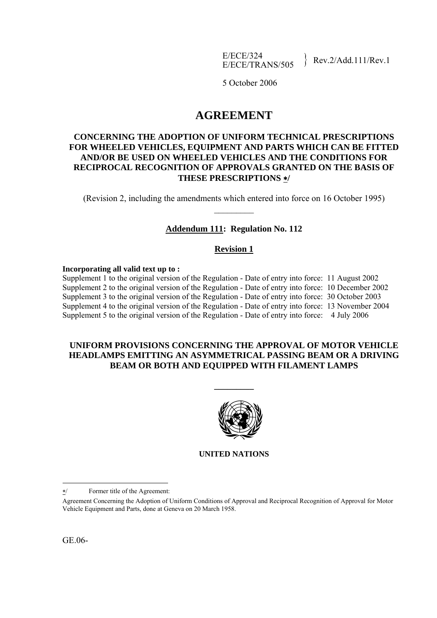E/ECE/324  $E/ECE/324$ <br> $E/ECE/TRANS/505$  Rev.2/Add.111/Rev.1

5 October 2006

# **AGREEMENT**

### **CONCERNING THE ADOPTION OF UNIFORM TECHNICAL PRESCRIPTIONS FOR WHEELED VEHICLES, EQUIPMENT AND PARTS WHICH CAN BE FITTED AND/OR BE USED ON WHEELED VEHICLES AND THE CONDITIONS FOR RECIPROCAL RECOGNITION OF APPROVALS GRANTED ON THE BASIS OF THESE PRESCRIPTIONS** ∗**/**

(Revision 2, including the amendments which entered into force on 16 October 1995)  $\mathcal{L}_\text{max}$ 

### **Addendum 111: Regulation No. 112**

#### **Revision 1**

#### **Incorporating all valid text up to :**

Supplement 1 to the original version of the Regulation - Date of entry into force: 11 August 2002 Supplement 2 to the original version of the Regulation - Date of entry into force: 10 December 2002 Supplement 3 to the original version of the Regulation - Date of entry into force: 30 October 2003 Supplement 4 to the original version of the Regulation - Date of entry into force: 13 November 2004 Supplement 5 to the original version of the Regulation - Date of entry into force: 4 July 2006

#### **UNIFORM PROVISIONS CONCERNING THE APPROVAL OF MOTOR VEHICLE HEADLAMPS EMITTING AN ASYMMETRICAL PASSING BEAM OR A DRIVING BEAM OR BOTH AND EQUIPPED WITH FILAMENT LAMPS**

**\_\_\_\_\_\_\_\_\_** 



**UNITED NATIONS** 

1

<sup>∗</sup>/ Former title of the Agreement:

Agreement Concerning the Adoption of Uniform Conditions of Approval and Reciprocal Recognition of Approval for Motor Vehicle Equipment and Parts, done at Geneva on 20 March 1958.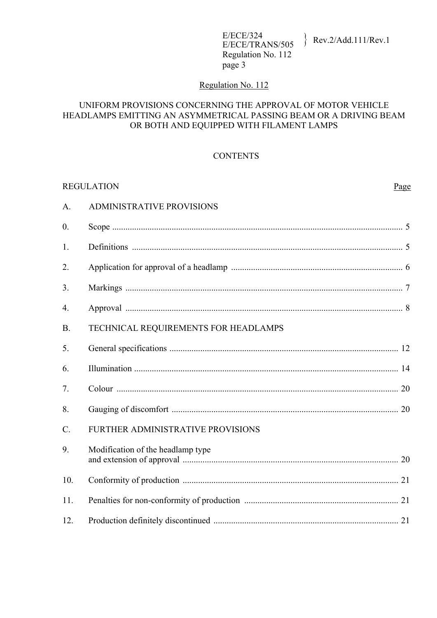## Regulation No. 112

#### UNIFORM PROVISIONS CONCERNING THE APPROVAL OF MOTOR VEHICLE HEADLAMPS EMITTING AN ASYMMETRICAL PASSING BEAM OR A DRIVING BEAM OR BOTH AND EQUIPPED WITH FILAMENT LAMPS

### **CONTENTS**

| <b>REGULATION</b> |                                      | Page |
|-------------------|--------------------------------------|------|
| A.                | <b>ADMINISTRATIVE PROVISIONS</b>     |      |
| $\mathbf{0}$ .    |                                      |      |
| 1.                |                                      |      |
| 2.                |                                      |      |
| 3.                |                                      |      |
| 4.                |                                      |      |
| B.                | TECHNICAL REQUIREMENTS FOR HEADLAMPS |      |
| 5.                |                                      |      |
| 6.                |                                      |      |
| 7.                |                                      |      |
| 8.                |                                      |      |
| $C$ .             | FURTHER ADMINISTRATIVE PROVISIONS    |      |
| 9.                | Modification of the headlamp type    |      |
| 10.               |                                      |      |
| 11.               |                                      |      |
| 12.               |                                      |      |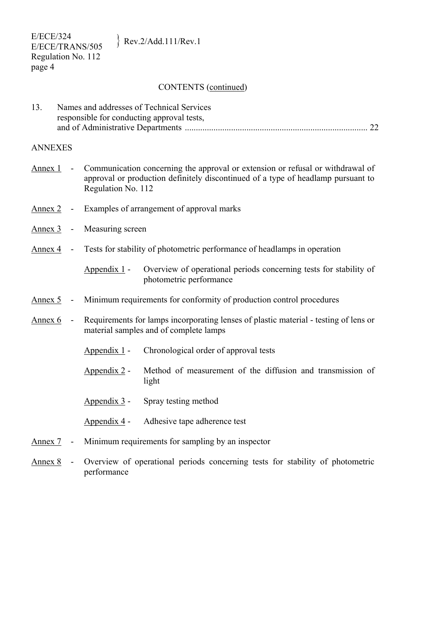#### CONTENTS (continued)

| 13. | Names and addresses of Technical Services  |  |
|-----|--------------------------------------------|--|
|     | responsible for conducting approval tests, |  |
|     |                                            |  |

#### ANNEXES

- Annex 1 Communication concerning the approval or extension or refusal or withdrawal of approval or production definitely discontinued of a type of headlamp pursuant to Regulation No. 112
- Annex 2 Examples of arrangement of approval marks
- Annex 3 Measuring screen
- Annex 4 Tests for stability of photometric performance of headlamps in operation

 Appendix 1 - Overview of operational periods concerning tests for stability of photometric performance

- Annex 5 Minimum requirements for conformity of production control procedures
- Annex 6 Requirements for lamps incorporating lenses of plastic material testing of lens or material samples and of complete lamps
	- Appendix 1 Chronological order of approval tests
	- Appendix 2 Method of measurement of the diffusion and transmission of light
	- Appendix 3 Spray testing method
	- Appendix 4 Adhesive tape adherence test
- Annex 7 Minimum requirements for sampling by an inspector
- Annex 8 Overview of operational periods concerning tests for stability of photometric performance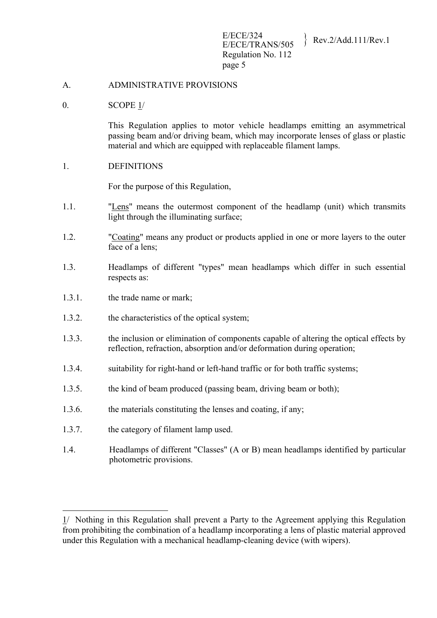#### A. ADMINISTRATIVE PROVISIONS

#### 0. SCOPE 1/

This Regulation applies to motor vehicle headlamps emitting an asymmetrical passing beam and/or driving beam, which may incorporate lenses of glass or plastic material and which are equipped with replaceable filament lamps.

#### 1. DEFINITIONS

For the purpose of this Regulation,

- 1.1. "Lens" means the outermost component of the headlamp (unit) which transmits light through the illuminating surface;
- 1.2. "Coating" means any product or products applied in one or more layers to the outer face of a lens:
- 1.3. Headlamps of different "types" mean headlamps which differ in such essential respects as:
- 1.3.1. the trade name or mark;
- 1.3.2. the characteristics of the optical system;
- 1.3.3. the inclusion or elimination of components capable of altering the optical effects by reflection, refraction, absorption and/or deformation during operation;
- 1.3.4. suitability for right-hand or left-hand traffic or for both traffic systems;
- 1.3.5. the kind of beam produced (passing beam, driving beam or both);
- 1.3.6. the materials constituting the lenses and coating, if any;
- 1.3.7. the category of filament lamp used.

1

1.4. Headlamps of different "Classes" (A or B) mean headlamps identified by particular photometric provisions.

<sup>1/</sup> Nothing in this Regulation shall prevent a Party to the Agreement applying this Regulation from prohibiting the combination of a headlamp incorporating a lens of plastic material approved under this Regulation with a mechanical headlamp-cleaning device (with wipers).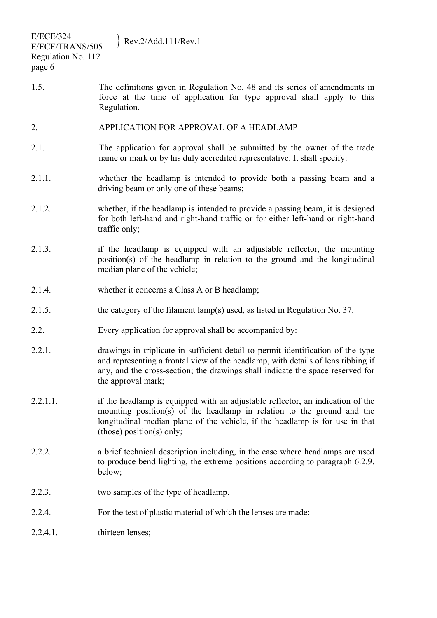| <b>E/ECE/324</b><br>E/ECE/TRANS/505<br>Regulation No. 112<br>page 6 | Rev.2/Add.111/Rev.1                                                                                                                                                                                                                                                          |
|---------------------------------------------------------------------|------------------------------------------------------------------------------------------------------------------------------------------------------------------------------------------------------------------------------------------------------------------------------|
| 1.5.                                                                | The definitions given in Regulation No. 48 and its series of amendments in<br>force at the time of application for type approval shall apply to this<br>Regulation.                                                                                                          |
| 2.                                                                  | APPLICATION FOR APPROVAL OF A HEADLAMP                                                                                                                                                                                                                                       |
| 2.1.                                                                | The application for approval shall be submitted by the owner of the trade<br>name or mark or by his duly accredited representative. It shall specify:                                                                                                                        |
| 2.1.1.                                                              | whether the headlamp is intended to provide both a passing beam and a<br>driving beam or only one of these beams;                                                                                                                                                            |
| 2.1.2.                                                              | whether, if the headlamp is intended to provide a passing beam, it is designed<br>for both left-hand and right-hand traffic or for either left-hand or right-hand<br>traffic only;                                                                                           |
| 2.1.3.                                                              | if the headlamp is equipped with an adjustable reflector, the mounting<br>position(s) of the headlamp in relation to the ground and the longitudinal<br>median plane of the vehicle;                                                                                         |
| 2.1.4.                                                              | whether it concerns a Class A or B headlamp;                                                                                                                                                                                                                                 |
| 2.1.5.                                                              | the category of the filament lamp(s) used, as listed in Regulation No. 37.                                                                                                                                                                                                   |
| 2.2.                                                                | Every application for approval shall be accompanied by:                                                                                                                                                                                                                      |
| 2.2.1.                                                              | drawings in triplicate in sufficient detail to permit identification of the type<br>and representing a frontal view of the headlamp, with details of lens ribbing if<br>any, and the cross-section; the drawings shall indicate the space reserved for<br>the approval mark; |
| 2.2.1.1.                                                            | if the headlamp is equipped with an adjustable reflector, an indication of the<br>mounting position(s) of the headlamp in relation to the ground and the<br>longitudinal median plane of the vehicle, if the headlamp is for use in that<br>(those) position(s) only;        |
| 2.2.2.                                                              | a brief technical description including, in the case where headlamps are used<br>to produce bend lighting, the extreme positions according to paragraph 6.2.9.<br>below;                                                                                                     |
| 2.2.3.                                                              | two samples of the type of headlamp.                                                                                                                                                                                                                                         |
| 2.2.4.                                                              | For the test of plastic material of which the lenses are made:                                                                                                                                                                                                               |
| 2.2.4.1.                                                            | thirteen lenses;                                                                                                                                                                                                                                                             |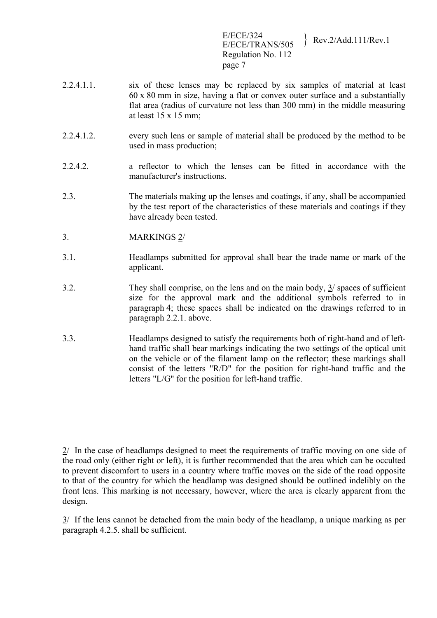E/ECE/324<br>E/ECE/TRANS/505 Rev.2/Add.111/Rev.1 Regulation No. 112 page 7

- 2.2.4.1.1. six of these lenses may be replaced by six samples of material at least 60 x 80 mm in size, having a flat or convex outer surface and a substantially flat area (radius of curvature not less than 300 mm) in the middle measuring at least 15 x 15 mm;
- 2.2.4.1.2. every such lens or sample of material shall be produced by the method to be used in mass production;
- 2.2.4.2. a reflector to which the lenses can be fitted in accordance with the manufacturer's instructions.
- 2.3. The materials making up the lenses and coatings, if any, shall be accompanied by the test report of the characteristics of these materials and coatings if they have already been tested.
- 3. MARKINGS 2/
- 3.1. Headlamps submitted for approval shall bear the trade name or mark of the applicant.
- 3.2. They shall comprise, on the lens and on the main body, 3/ spaces of sufficient size for the approval mark and the additional symbols referred to in paragraph 4; these spaces shall be indicated on the drawings referred to in paragraph 2.2.1. above.
- 3.3. Headlamps designed to satisfy the requirements both of right-hand and of lefthand traffic shall bear markings indicating the two settings of the optical unit on the vehicle or of the filament lamp on the reflector; these markings shall consist of the letters "R/D" for the position for right-hand traffic and the letters "L/G" for the position for left-hand traffic.

<sup>1</sup> 2/ In the case of headlamps designed to meet the requirements of traffic moving on one side of the road only (either right or left), it is further recommended that the area which can be occulted to prevent discomfort to users in a country where traffic moves on the side of the road opposite to that of the country for which the headlamp was designed should be outlined indelibly on the front lens. This marking is not necessary, however, where the area is clearly apparent from the design.

 $3/$  If the lens cannot be detached from the main body of the headlamp, a unique marking as per paragraph 4.2.5. shall be sufficient.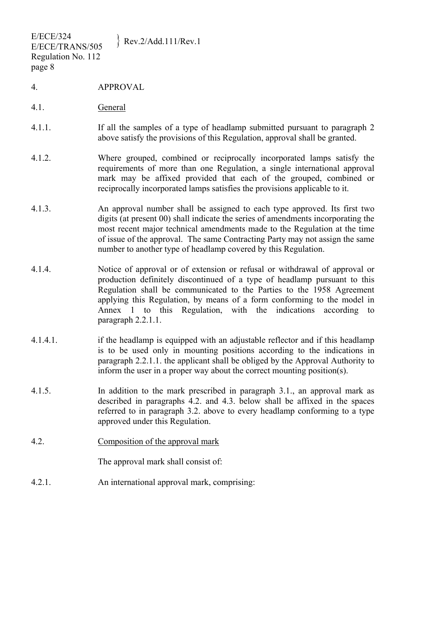4. APPROVAL

page 8

- 4.1. General
- 4.1.1. If all the samples of a type of headlamp submitted pursuant to paragraph 2 above satisfy the provisions of this Regulation, approval shall be granted.
- 4.1.2. Where grouped, combined or reciprocally incorporated lamps satisfy the requirements of more than one Regulation, a single international approval mark may be affixed provided that each of the grouped, combined or reciprocally incorporated lamps satisfies the provisions applicable to it.
- 4.1.3. An approval number shall be assigned to each type approved. Its first two digits (at present 00) shall indicate the series of amendments incorporating the most recent major technical amendments made to the Regulation at the time of issue of the approval. The same Contracting Party may not assign the same number to another type of headlamp covered by this Regulation.
- 4.1.4. Notice of approval or of extension or refusal or withdrawal of approval or production definitely discontinued of a type of headlamp pursuant to this Regulation shall be communicated to the Parties to the 1958 Agreement applying this Regulation, by means of a form conforming to the model in Annex 1 to this Regulation, with the indications according to paragraph 2.2.1.1.
- 4.1.4.1. if the headlamp is equipped with an adjustable reflector and if this headlamp is to be used only in mounting positions according to the indications in paragraph 2.2.1.1. the applicant shall be obliged by the Approval Authority to inform the user in a proper way about the correct mounting position(s).
- 4.1.5. In addition to the mark prescribed in paragraph 3.1., an approval mark as described in paragraphs 4.2. and 4.3. below shall be affixed in the spaces referred to in paragraph 3.2. above to every headlamp conforming to a type approved under this Regulation.
- 4.2. Composition of the approval mark

The approval mark shall consist of:

4.2.1. An international approval mark, comprising: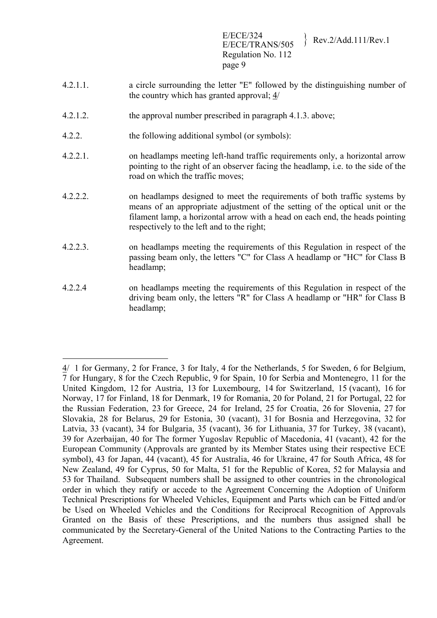E/ECE/324<br>E/ECE/TRANS/505 Rev.2/Add.111/Rev.1 Regulation No. 112 page 9

- 4.2.1.1. a circle surrounding the letter "E" followed by the distinguishing number of the country which has granted approval; 4/
- 4.2.1.2. the approval number prescribed in paragraph 4.1.3. above;
- 4.2.2. the following additional symbol (or symbols):

1

- 4.2.2.1. on headlamps meeting left-hand traffic requirements only, a horizontal arrow pointing to the right of an observer facing the headlamp, i.e. to the side of the road on which the traffic moves;
- 4.2.2.2. on headlamps designed to meet the requirements of both traffic systems by means of an appropriate adjustment of the setting of the optical unit or the filament lamp, a horizontal arrow with a head on each end, the heads pointing respectively to the left and to the right;
- 4.2.2.3. on headlamps meeting the requirements of this Regulation in respect of the passing beam only, the letters "C" for Class A headlamp or "HC" for Class B headlamp;
- 4.2.2.4 on headlamps meeting the requirements of this Regulation in respect of the driving beam only, the letters "R" for Class A headlamp or "HR" for Class B headlamp;

<sup>4/ 1</sup> for Germany, 2 for France, 3 for Italy, 4 for the Netherlands, 5 for Sweden, 6 for Belgium, 7 for Hungary, 8 for the Czech Republic, 9 for Spain, 10 for Serbia and Montenegro, 11 for the United Kingdom, 12 for Austria, 13 for Luxembourg, 14 for Switzerland, 15 (vacant), 16 for Norway, 17 for Finland, 18 for Denmark, 19 for Romania, 20 for Poland, 21 for Portugal, 22 for the Russian Federation, 23 for Greece, 24 for Ireland, 25 for Croatia, 26 for Slovenia, 27 for Slovakia, 28 for Belarus, 29 for Estonia, 30 (vacant), 31 for Bosnia and Herzegovina, 32 for Latvia, 33 (vacant), 34 for Bulgaria, 35 (vacant), 36 for Lithuania, 37 for Turkey, 38 (vacant), 39 for Azerbaijan, 40 for The former Yugoslav Republic of Macedonia, 41 (vacant), 42 for the European Community (Approvals are granted by its Member States using their respective ECE symbol), 43 for Japan, 44 (vacant), 45 for Australia, 46 for Ukraine, 47 for South Africa, 48 for New Zealand, 49 for Cyprus, 50 for Malta, 51 for the Republic of Korea, 52 for Malaysia and 53 for Thailand. Subsequent numbers shall be assigned to other countries in the chronological order in which they ratify or accede to the Agreement Concerning the Adoption of Uniform Technical Prescriptions for Wheeled Vehicles, Equipment and Parts which can be Fitted and/or be Used on Wheeled Vehicles and the Conditions for Reciprocal Recognition of Approvals Granted on the Basis of these Prescriptions, and the numbers thus assigned shall be communicated by the Secretary-General of the United Nations to the Contracting Parties to the Agreement.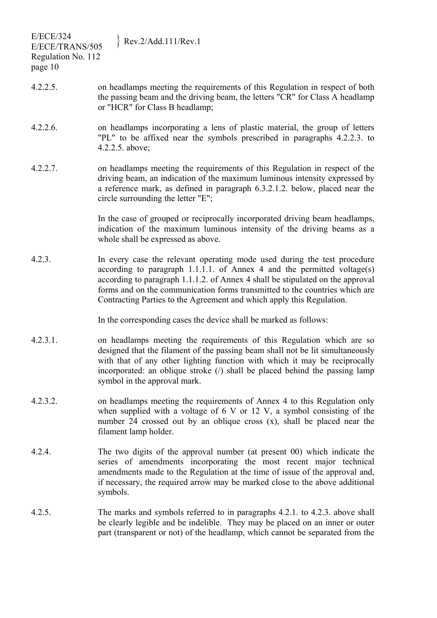| <b>E/ECE/324</b><br>E/ECE/TRANS/505<br>Regulation No. 112<br>page 10 | Rev.2/Add.111/Rev.1                                                                                                                                                                                                                                                                                                                                                                           |
|----------------------------------------------------------------------|-----------------------------------------------------------------------------------------------------------------------------------------------------------------------------------------------------------------------------------------------------------------------------------------------------------------------------------------------------------------------------------------------|
| $4.2.2.5$ .                                                          | on headlamps meeting the requirements of this Regulation in respect of both<br>the passing beam and the driving beam, the letters "CR" for Class A headlamp<br>or "HCR" for Class B headlamp;                                                                                                                                                                                                 |
| $4.2.2.6$ .                                                          | on headlamps incorporating a lens of plastic material, the group of letters<br>"PL" to be affixed near the symbols prescribed in paragraphs 4.2.2.3. to<br>4.2.2.5. above;                                                                                                                                                                                                                    |
| 4.2.2.7.                                                             | on headlamps meeting the requirements of this Regulation in respect of the<br>driving beam, an indication of the maximum luminous intensity expressed by<br>a reference mark, as defined in paragraph 6.3.2.1.2. below, placed near the<br>circle surrounding the letter "E";                                                                                                                 |
|                                                                      | In the case of grouped or reciprocally incorporated driving beam headlamps,<br>indication of the maximum luminous intensity of the driving beams as a<br>whole shall be expressed as above.                                                                                                                                                                                                   |
| 4.2.3.                                                               | In every case the relevant operating mode used during the test procedure<br>according to paragraph 1.1.1.1. of Annex 4 and the permitted voltage(s)<br>according to paragraph 1.1.1.2. of Annex 4 shall be stipulated on the approval<br>forms and on the communication forms transmitted to the countries which are<br>Contracting Parties to the Agreement and which apply this Regulation. |
|                                                                      | In the corresponding cases the device shall be marked as follows:                                                                                                                                                                                                                                                                                                                             |
| 4.2.3.1.                                                             | on headlamps meeting the requirements of this Regulation which are so<br>designed that the filament of the passing beam shall not be lit simultaneously<br>with that of any other lighting function with which it may be reciprocally<br>incorporated: an oblique stroke $($ ) shall be placed behind the passing lamp<br>symbol in the approval mark.                                        |
| 4.2.3.2.                                                             | on headlamps meeting the requirements of Annex 4 to this Regulation only<br>when supplied with a voltage of $6 \text{ V}$ or 12 V, a symbol consisting of the<br>number 24 crossed out by an oblique cross (x), shall be placed near the<br>filament lamp holder.                                                                                                                             |
| 4.2.4.                                                               | The two digits of the approval number (at present 00) which indicate the<br>series of amendments incorporating the most recent major technical<br>amendments made to the Regulation at the time of issue of the approval and,<br>if necessary, the required arrow may be marked close to the above additional<br>symbols.                                                                     |
| 4.2.5.                                                               | The marks and symbols referred to in paragraphs 4.2.1. to 4.2.3. above shall<br>be clearly legible and be indelible. They may be placed on an inner or outer<br>part (transparent or not) of the headlamp, which cannot be separated from the                                                                                                                                                 |
|                                                                      |                                                                                                                                                                                                                                                                                                                                                                                               |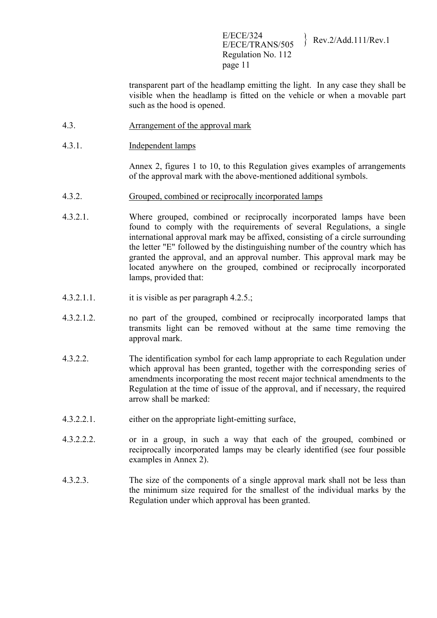E/ECE/324<br>E/ECE/TRANS/505 Rev.2/Add.111/Rev.1 Regulation No. 112 page 11

transparent part of the headlamp emitting the light. In any case they shall be visible when the headlamp is fitted on the vehicle or when a movable part such as the hood is opened.

- 4.3. Arrangement of the approval mark
- 4.3.1. Independent lamps

Annex 2, figures 1 to 10, to this Regulation gives examples of arrangements of the approval mark with the above-mentioned additional symbols.

- 4.3.2. Grouped, combined or reciprocally incorporated lamps
- 4.3.2.1. Where grouped, combined or reciprocally incorporated lamps have been found to comply with the requirements of several Regulations, a single international approval mark may be affixed, consisting of a circle surrounding the letter "E" followed by the distinguishing number of the country which has granted the approval, and an approval number. This approval mark may be located anywhere on the grouped, combined or reciprocally incorporated lamps, provided that:
- 4.3.2.1.1. it is visible as per paragraph 4.2.5.;
- 4.3.2.1.2. no part of the grouped, combined or reciprocally incorporated lamps that transmits light can be removed without at the same time removing the approval mark.
- 4.3.2.2. The identification symbol for each lamp appropriate to each Regulation under which approval has been granted, together with the corresponding series of amendments incorporating the most recent major technical amendments to the Regulation at the time of issue of the approval, and if necessary, the required arrow shall be marked:
- 4.3.2.2.1. either on the appropriate light-emitting surface,
- 4.3.2.2.2. or in a group, in such a way that each of the grouped, combined or reciprocally incorporated lamps may be clearly identified (see four possible examples in Annex 2).
- 4.3.2.3. The size of the components of a single approval mark shall not be less than the minimum size required for the smallest of the individual marks by the Regulation under which approval has been granted.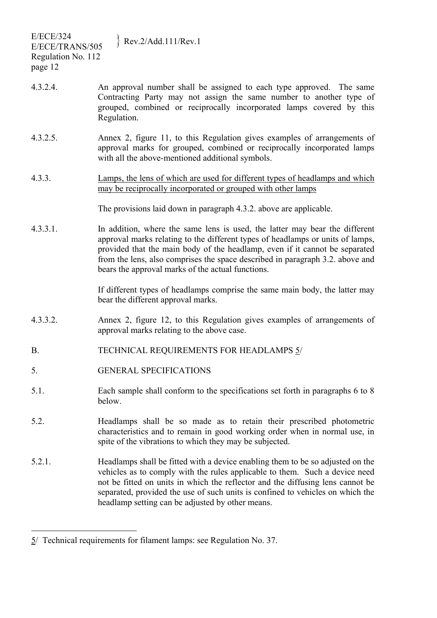| <b>E/ECE/324</b><br>E/ECE/TRANS/505<br>Regulation No. 112<br>page 12 | $\text{Rev.2/Add.111/Rev.1}$                                                                                                                                                                                                                                                                                                                                                          |
|----------------------------------------------------------------------|---------------------------------------------------------------------------------------------------------------------------------------------------------------------------------------------------------------------------------------------------------------------------------------------------------------------------------------------------------------------------------------|
| 4.3.2.4.                                                             | An approval number shall be assigned to each type approved. The same<br>Contracting Party may not assign the same number to another type of<br>grouped, combined or reciprocally incorporated lamps covered by this<br>Regulation.                                                                                                                                                    |
| 4.3.2.5.                                                             | Annex 2, figure 11, to this Regulation gives examples of arrangements of<br>approval marks for grouped, combined or reciprocally incorporated lamps<br>with all the above-mentioned additional symbols.                                                                                                                                                                               |
| 4.3.3.                                                               | Lamps, the lens of which are used for different types of headlamps and which<br>may be reciprocally incorporated or grouped with other lamps                                                                                                                                                                                                                                          |
|                                                                      | The provisions laid down in paragraph 4.3.2, above are applicable.                                                                                                                                                                                                                                                                                                                    |
| 4.3.3.1.                                                             | In addition, where the same lens is used, the latter may bear the different<br>approval marks relating to the different types of headlamps or units of lamps,<br>provided that the main body of the headlamp, even if it cannot be separated<br>from the lens, also comprises the space described in paragraph 3.2. above and<br>bears the approval marks of the actual functions.    |
|                                                                      | If different types of headlamps comprise the same main body, the latter may<br>bear the different approval marks.                                                                                                                                                                                                                                                                     |
| 4.3.3.2.                                                             | Annex 2, figure 12, to this Regulation gives examples of arrangements of<br>approval marks relating to the above case.                                                                                                                                                                                                                                                                |
| B.                                                                   | TECHNICAL REQUIREMENTS FOR HEADLAMPS 5/                                                                                                                                                                                                                                                                                                                                               |
| 5.                                                                   | <b>GENERAL SPECIFICATIONS</b>                                                                                                                                                                                                                                                                                                                                                         |
| 5.1.                                                                 | Each sample shall conform to the specifications set forth in paragraphs 6 to 8<br>below.                                                                                                                                                                                                                                                                                              |
| 5.2.                                                                 | Headlamps shall be so made as to retain their prescribed photometric<br>characteristics and to remain in good working order when in normal use, in<br>spite of the vibrations to which they may be subjected.                                                                                                                                                                         |
| 5.2.1.                                                               | Headlamps shall be fitted with a device enabling them to be so adjusted on the<br>vehicles as to comply with the rules applicable to them. Such a device need<br>not be fitted on units in which the reflector and the diffusing lens cannot be<br>separated, provided the use of such units is confined to vehicles on which the<br>headlamp setting can be adjusted by other means. |
|                                                                      |                                                                                                                                                                                                                                                                                                                                                                                       |

 $\overline{a}$ 

 $5/$  Technical requirements for filament lamps: see Regulation No. 37.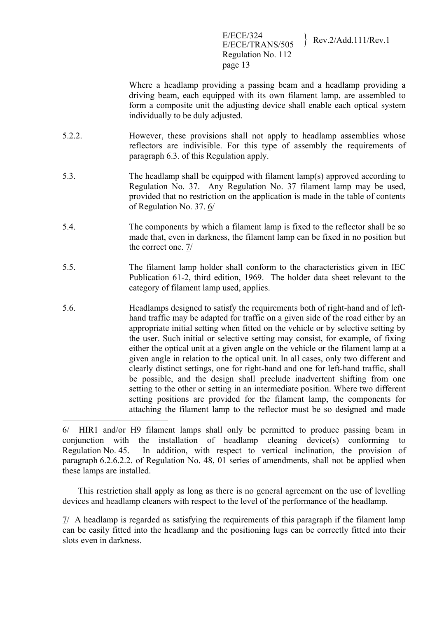#### E/ECE/324<br>E/ECE/TRANS/505 Rev.2/Add.111/Rev.1 Regulation No. 112 page 13

Where a headlamp providing a passing beam and a headlamp providing a driving beam, each equipped with its own filament lamp, are assembled to form a composite unit the adjusting device shall enable each optical system individually to be duly adjusted.

- 5.2.2. However, these provisions shall not apply to headlamp assemblies whose reflectors are indivisible. For this type of assembly the requirements of paragraph 6.3. of this Regulation apply.
- 5.3. The headlamp shall be equipped with filament lamp(s) approved according to Regulation No. 37. Any Regulation No. 37 filament lamp may be used, provided that no restriction on the application is made in the table of contents of Regulation No. 37. 6/
- 5.4. The components by which a filament lamp is fixed to the reflector shall be so made that, even in darkness, the filament lamp can be fixed in no position but the correct one. 7/
- 5.5. The filament lamp holder shall conform to the characteristics given in IEC Publication 61-2, third edition, 1969. The holder data sheet relevant to the category of filament lamp used, applies.
- 5.6. Headlamps designed to satisfy the requirements both of right-hand and of lefthand traffic may be adapted for traffic on a given side of the road either by an appropriate initial setting when fitted on the vehicle or by selective setting by the user. Such initial or selective setting may consist, for example, of fixing either the optical unit at a given angle on the vehicle or the filament lamp at a given angle in relation to the optical unit. In all cases, only two different and clearly distinct settings, one for right-hand and one for left-hand traffic, shall be possible, and the design shall preclude inadvertent shifting from one setting to the other or setting in an intermediate position. Where two different setting positions are provided for the filament lamp, the components for attaching the filament lamp to the reflector must be so designed and made

6/ HIR1 and/or H9 filament lamps shall only be permitted to produce passing beam in conjunction with the installation of headlamp cleaning device(s) conforming to Regulation No. 45. In addition, with respect to vertical inclination, the provision of paragraph 6.2.6.2.2. of Regulation No. 48, 01 series of amendments, shall not be applied when these lamps are installed.

<u>.</u>

 This restriction shall apply as long as there is no general agreement on the use of levelling devices and headlamp cleaners with respect to the level of the performance of the headlamp.

7/ A headlamp is regarded as satisfying the requirements of this paragraph if the filament lamp can be easily fitted into the headlamp and the positioning lugs can be correctly fitted into their slots even in darkness.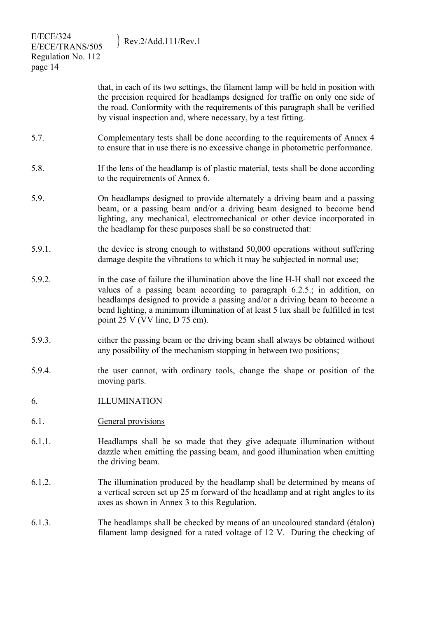| <b>E/ECE/324</b><br>E/ECE/TRANS/505<br>Regulation No. 112<br>page 14 | Rev.2/Add.111/Rev.1                                                                                                                                                                                                                                                                                                                                             |
|----------------------------------------------------------------------|-----------------------------------------------------------------------------------------------------------------------------------------------------------------------------------------------------------------------------------------------------------------------------------------------------------------------------------------------------------------|
|                                                                      | that, in each of its two settings, the filament lamp will be held in position with<br>the precision required for headlamps designed for traffic on only one side of<br>the road. Conformity with the requirements of this paragraph shall be verified<br>by visual inspection and, where necessary, by a test fitting.                                          |
| 5.7.                                                                 | Complementary tests shall be done according to the requirements of Annex 4<br>to ensure that in use there is no excessive change in photometric performance.                                                                                                                                                                                                    |
| 5.8.                                                                 | If the lens of the headlamp is of plastic material, tests shall be done according<br>to the requirements of Annex 6.                                                                                                                                                                                                                                            |
| 5.9.                                                                 | On headlamps designed to provide alternately a driving beam and a passing<br>beam, or a passing beam and/or a driving beam designed to become bend<br>lighting, any mechanical, electromechanical or other device incorporated in<br>the headlamp for these purposes shall be so constructed that:                                                              |
| 5.9.1.                                                               | the device is strong enough to withstand 50,000 operations without suffering<br>damage despite the vibrations to which it may be subjected in normal use;                                                                                                                                                                                                       |
| 5.9.2.                                                               | in the case of failure the illumination above the line H-H shall not exceed the<br>values of a passing beam according to paragraph 6.2.5.; in addition, on<br>headlamps designed to provide a passing and/or a driving beam to become a<br>bend lighting, a minimum illumination of at least 5 lux shall be fulfilled in test<br>point 25 V (VV line, D 75 cm). |
| 5.9.3.                                                               | either the passing beam or the driving beam shall always be obtained without<br>any possibility of the mechanism stopping in between two positions;                                                                                                                                                                                                             |
| 5.9.4.                                                               | the user cannot, with ordinary tools, change the shape or position of the<br>moving parts.                                                                                                                                                                                                                                                                      |
| 6.                                                                   | <b>ILLUMINATION</b>                                                                                                                                                                                                                                                                                                                                             |
| 6.1.                                                                 | General provisions                                                                                                                                                                                                                                                                                                                                              |
| 6.1.1.                                                               | Headlamps shall be so made that they give adequate illumination without<br>dazzle when emitting the passing beam, and good illumination when emitting<br>the driving beam.                                                                                                                                                                                      |
| 6.1.2.                                                               | The illumination produced by the headlamp shall be determined by means of<br>a vertical screen set up 25 m forward of the headlamp and at right angles to its<br>axes as shown in Annex 3 to this Regulation.                                                                                                                                                   |
| 6.1.3.                                                               | The headlamps shall be checked by means of an uncoloured standard (étalon)<br>filament lamp designed for a rated voltage of 12 V. During the checking of                                                                                                                                                                                                        |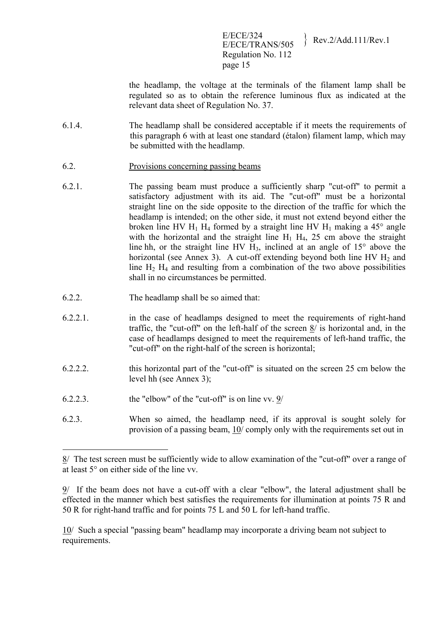E/ECE/324<br>E/ECE/TRANS/505 Rev.2/Add.111/Rev.1 Regulation No. 112 page 15

the headlamp, the voltage at the terminals of the filament lamp shall be regulated so as to obtain the reference luminous flux as indicated at the relevant data sheet of Regulation No. 37.

- 6.1.4. The headlamp shall be considered acceptable if it meets the requirements of this paragraph 6 with at least one standard (étalon) filament lamp, which may be submitted with the headlamp.
- 6.2. Provisions concerning passing beams
- 6.2.1. The passing beam must produce a sufficiently sharp "cut-off" to permit a satisfactory adjustment with its aid. The "cut-off" must be a horizontal straight line on the side opposite to the direction of the traffic for which the headlamp is intended; on the other side, it must not extend beyond either the broken line HV H<sub>1</sub> H<sub>4</sub> formed by a straight line HV H<sub>1</sub> making a 45 $^{\circ}$  angle with the horizontal and the straight line  $H_1$   $H_4$ , 25 cm above the straight line hh, or the straight line HV  $H_3$ , inclined at an angle of  $15^\circ$  above the horizontal (see Annex 3). A cut-off extending beyond both line HV  $H_2$  and line  $H_2$   $H_4$  and resulting from a combination of the two above possibilities shall in no circumstances be permitted.
- 6.2.2. The headlamp shall be so aimed that:
- 6.2.2.1. in the case of headlamps designed to meet the requirements of right-hand traffic, the "cut-off" on the left-half of the screen 8/ is horizontal and, in the case of headlamps designed to meet the requirements of left-hand traffic, the "cut-off" on the right-half of the screen is horizontal;
- 6.2.2.2. this horizontal part of the "cut-off" is situated on the screen 25 cm below the level hh (see Annex 3);
- 6.2.2.3. the "elbow" of the "cut-off" is on line vv. 9/

1

6.2.3. When so aimed, the headlamp need, if its approval is sought solely for provision of a passing beam, 10/ comply only with the requirements set out in

10/ Such a special "passing beam" headlamp may incorporate a driving beam not subject to requirements.

<sup>8/</sup> The test screen must be sufficiently wide to allow examination of the "cut-off" over a range of at least 5° on either side of the line vv.

<sup>9/</sup> If the beam does not have a cut-off with a clear "elbow", the lateral adjustment shall be effected in the manner which best satisfies the requirements for illumination at points 75 R and 50 R for right-hand traffic and for points 75 L and 50 L for left-hand traffic.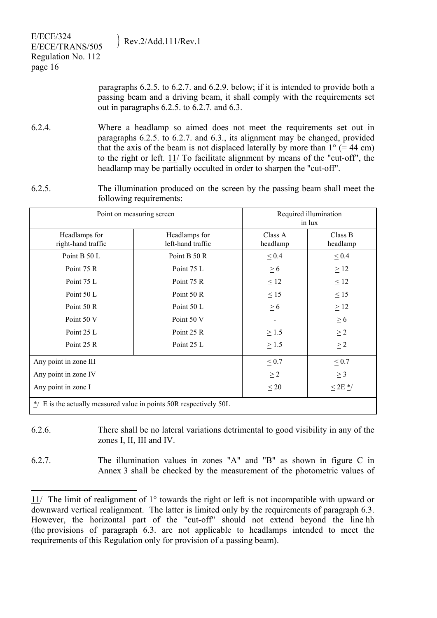|  | $\{$ Rev.2/Add.111/Rev.1 |
|--|--------------------------|
|--|--------------------------|

| E/ECE/324          | $\{$ Rev.2/Add.111/Rev.1 |
|--------------------|--------------------------|
| E/ECE/TRANS/505    |                          |
| Regulation No. 112 |                          |
| page 16            |                          |
|                    |                          |

 $\overline{a}$ 

paragraphs 6.2.5. to 6.2.7. and 6.2.9. below; if it is intended to provide both a passing beam and a driving beam, it shall comply with the requirements set out in paragraphs 6.2.5. to 6.2.7. and 6.3.

- 6.2.4. Where a headlamp so aimed does not meet the requirements set out in paragraphs 6.2.5. to 6.2.7. and 6.3., its alignment may be changed, provided that the axis of the beam is not displaced laterally by more than  $1^{\circ}$  (= 44 cm) to the right or left. 11/ To facilitate alignment by means of the "cut-off", the headlamp may be partially occulted in order to sharpen the "cut-off".
- 6.2.5. The illumination produced on the screen by the passing beam shall meet the following requirements:

| Point on measuring screen                                                     |                                    | Required illumination<br>in lux |                         |
|-------------------------------------------------------------------------------|------------------------------------|---------------------------------|-------------------------|
| Headlamps for<br>right-hand traffic                                           | Headlamps for<br>left-hand traffic | Class A<br>headlamp             | Class B<br>headlamp     |
| Point B 50 L                                                                  | Point B 50 R                       | $\leq 0.4$                      | $\leq 0.4$              |
| Point 75 R                                                                    | Point 75 L                         | $\geq 6$                        | $\geq$ 12               |
| Point 75 L                                                                    | Point 75 R                         | $\leq 12$                       | $\leq 12$               |
| Point 50 L                                                                    | Point 50 R                         | $\leq 15$                       | $\leq$ 15               |
| Point 50 R                                                                    | Point 50 L                         | $\geq 6$                        | $\geq$ 12               |
| Point 50 V                                                                    | Point 50 V                         |                                 | $\geq 6$                |
| Point 25 L                                                                    | Point 25 R                         | $\geq$ 1.5                      | $\geq 2$                |
| Point 25 R                                                                    | Point 25 L                         | $\geq$ 1.5                      | $\geq$ 2                |
| Any point in zone III                                                         |                                    | $\leq 0.7$                      | $\leq 0.7$              |
| Any point in zone IV                                                          | $\geq$ 2                           | $\geq$ 3                        |                         |
| Any point in zone I                                                           |                                    | $\leq 20$                       | $\leq$ 2E $\frac{*}{ }$ |
| $\frac{*}{2}$ E is the actually measured value in points 50R respectively 50L |                                    |                                 |                         |

- 6.2.6. There shall be no lateral variations detrimental to good visibility in any of the zones I, II, III and IV.
- 6.2.7. The illumination values in zones "A" and "B" as shown in figure C in Annex 3 shall be checked by the measurement of the photometric values of

<sup>11/</sup> The limit of realignment of 1° towards the right or left is not incompatible with upward or downward vertical realignment. The latter is limited only by the requirements of paragraph 6.3. However, the horizontal part of the "cut-off" should not extend beyond the line hh (the provisions of paragraph 6.3. are not applicable to headlamps intended to meet the requirements of this Regulation only for provision of a passing beam).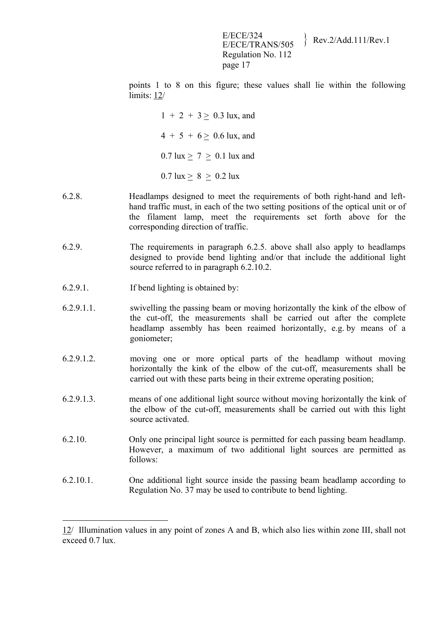E/ECE/324<br>E/ECE/TRANS/505 Rev.2/Add.111/Rev.1 Regulation No. 112 page 17

points 1 to 8 on this figure; these values shall lie within the following limits: 12/

> $1 + 2 + 3 > 0.3$  lux, and  $4 + 5 + 6 > 0.6$  lux, and  $0.7 \text{ lux} > 7 > 0.1 \text{ lux}$  and  $0.7$  lux  $> 8 > 0.2$  lux

- 6.2.8. Headlamps designed to meet the requirements of both right-hand and lefthand traffic must, in each of the two setting positions of the optical unit or of the filament lamp, meet the requirements set forth above for the corresponding direction of traffic.
- 6.2.9. The requirements in paragraph 6.2.5. above shall also apply to headlamps designed to provide bend lighting and/or that include the additional light source referred to in paragraph 6.2.10.2.
- 6.2.9.1. If bend lighting is obtained by:

1

- 6.2.9.1.1. swivelling the passing beam or moving horizontally the kink of the elbow of the cut-off, the measurements shall be carried out after the complete headlamp assembly has been reaimed horizontally, e.g. by means of a goniometer;
- 6.2.9.1.2. moving one or more optical parts of the headlamp without moving horizontally the kink of the elbow of the cut-off, measurements shall be carried out with these parts being in their extreme operating position;
- 6.2.9.1.3. means of one additional light source without moving horizontally the kink of the elbow of the cut-off, measurements shall be carried out with this light source activated.
- 6.2.10. Only one principal light source is permitted for each passing beam headlamp. However, a maximum of two additional light sources are permitted as follows:
- 6.2.10.1. One additional light source inside the passing beam headlamp according to Regulation No. 37 may be used to contribute to bend lighting.

<sup>12/</sup> Illumination values in any point of zones A and B, which also lies within zone III, shall not exceed 0.7 lux.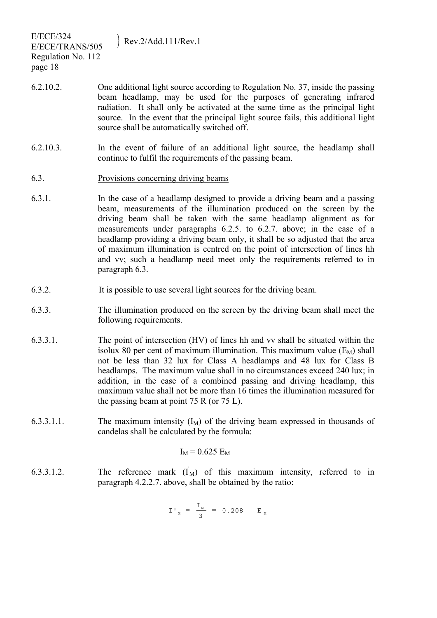- 6.2.10.2. One additional light source according to Regulation No. 37, inside the passing beam headlamp, may be used for the purposes of generating infrared radiation. It shall only be activated at the same time as the principal light source. In the event that the principal light source fails, this additional light source shall be automatically switched off.
- 6.2.10.3. In the event of failure of an additional light source, the headlamp shall continue to fulfil the requirements of the passing beam.
- 6.3. Provisions concerning driving beams
- 6.3.1. In the case of a headlamp designed to provide a driving beam and a passing beam, measurements of the illumination produced on the screen by the driving beam shall be taken with the same headlamp alignment as for measurements under paragraphs 6.2.5. to 6.2.7. above; in the case of a headlamp providing a driving beam only, it shall be so adjusted that the area of maximum illumination is centred on the point of intersection of lines hh and vv; such a headlamp need meet only the requirements referred to in paragraph 6.3.
- 6.3.2. It is possible to use several light sources for the driving beam.
- 6.3.3. The illumination produced on the screen by the driving beam shall meet the following requirements.
- 6.3.3.1. The point of intersection (HV) of lines hh and vv shall be situated within the isolux 80 per cent of maximum illumination. This maximum value  $(E_M)$  shall not be less than 32 lux for Class A headlamps and 48 lux for Class B headlamps. The maximum value shall in no circumstances exceed 240 lux; in addition, in the case of a combined passing and driving headlamp, this maximum value shall not be more than 16 times the illumination measured for the passing beam at point 75 R (or 75 L).
- 6.3.3.1.1. The maximum intensity  $(I_M)$  of the driving beam expressed in thousands of candelas shall be calculated by the formula:

$$
I_M = 0.625 E_M
$$

6.3.3.1.2. The reference mark  $(I_M)$  of this maximum intensity, referred to in paragraph 4.2.2.7. above, shall be obtained by the ratio:

$$
I'_{M} = \frac{I_{M}}{3} = 0.208
$$
 E<sub>M</sub>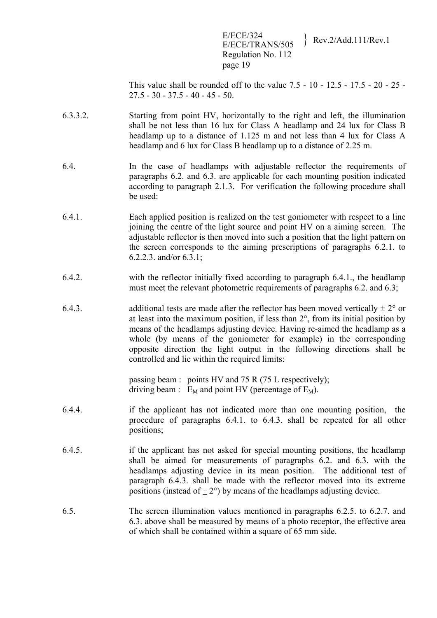E/ECE/324<br>E/ECE/TRANS/505 Rev.2/Add.111/Rev.1 Regulation No. 112 page 19

This value shall be rounded off to the value 7.5 - 10 - 12.5 - 17.5 - 20 - 25 - 27.5 - 30 - 37.5 - 40 - 45 - 50.

- 6.3.3.2. Starting from point HV, horizontally to the right and left, the illumination shall be not less than 16 lux for Class A headlamp and 24 lux for Class B headlamp up to a distance of 1.125 m and not less than 4 lux for Class A headlamp and 6 lux for Class B headlamp up to a distance of 2.25 m.
- 6.4. In the case of headlamps with adjustable reflector the requirements of paragraphs 6.2. and 6.3. are applicable for each mounting position indicated according to paragraph 2.1.3. For verification the following procedure shall be used:
- 6.4.1. Each applied position is realized on the test goniometer with respect to a line joining the centre of the light source and point HV on a aiming screen. The adjustable reflector is then moved into such a position that the light pattern on the screen corresponds to the aiming prescriptions of paragraphs 6.2.1. to 6.2.2.3. and/or 6.3.1;
- 6.4.2. with the reflector initially fixed according to paragraph 6.4.1., the headlamp must meet the relevant photometric requirements of paragraphs 6.2. and 6.3;
- 6.4.3. additional tests are made after the reflector has been moved vertically  $\pm 2^{\circ}$  or at least into the maximum position, if less than 2°, from its initial position by means of the headlamps adjusting device. Having re-aimed the headlamp as a whole (by means of the goniometer for example) in the corresponding opposite direction the light output in the following directions shall be controlled and lie within the required limits:

passing beam : points HV and 75 R (75 L respectively); driving beam :  $E_M$  and point HV (percentage of  $E_M$ ).

- 6.4.4. if the applicant has not indicated more than one mounting position, the procedure of paragraphs 6.4.1. to 6.4.3. shall be repeated for all other positions;
- 6.4.5. if the applicant has not asked for special mounting positions, the headlamp shall be aimed for measurements of paragraphs 6.2. and 6.3. with the headlamps adjusting device in its mean position. The additional test of paragraph 6.4.3. shall be made with the reflector moved into its extreme positions (instead of  $+2^{\circ}$ ) by means of the headlamps adjusting device.
- 6.5. The screen illumination values mentioned in paragraphs 6.2.5. to 6.2.7. and 6.3. above shall be measured by means of a photo receptor, the effective area of which shall be contained within a square of 65 mm side.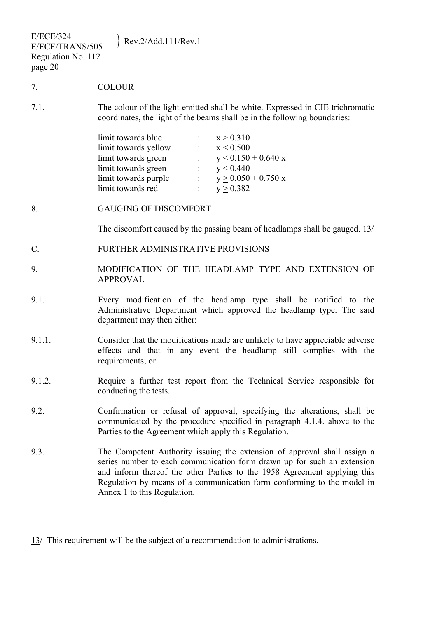| <b>E/ECE/324</b><br>Rev.2/Add.111/Rev.1<br>E/ECE/TRANS/505<br>Regulation No. 112<br>page 20 |                                                                                                                                                                                                                                                                                                                                          |  |
|---------------------------------------------------------------------------------------------|------------------------------------------------------------------------------------------------------------------------------------------------------------------------------------------------------------------------------------------------------------------------------------------------------------------------------------------|--|
| 7.                                                                                          | <b>COLOUR</b>                                                                                                                                                                                                                                                                                                                            |  |
| 7.1.                                                                                        | The colour of the light emitted shall be white. Expressed in CIE trichromatic<br>coordinates, the light of the beams shall be in the following boundaries:<br>limit towards blue<br>$x \ge 0.310$<br>limit towards yellow<br>$x \leq 0.500$<br>limit towards green<br>$y \le 0.150 + 0.640 x$                                            |  |
|                                                                                             | limit towards green :<br>y < 0.440<br>limit towards purple $y > 0.050 + 0.750 x$<br>limit towards red<br>$y \ge 0.382$                                                                                                                                                                                                                   |  |
| 8.                                                                                          | <b>GAUGING OF DISCOMFORT</b>                                                                                                                                                                                                                                                                                                             |  |
|                                                                                             | The discomfort caused by the passing beam of headlamps shall be gauged. 13/                                                                                                                                                                                                                                                              |  |
| $\mathcal{C}$ .                                                                             | FURTHER ADMINISTRATIVE PROVISIONS                                                                                                                                                                                                                                                                                                        |  |
| 9.                                                                                          | MODIFICATION OF THE HEADLAMP TYPE AND EXTENSION OF<br><b>APPROVAL</b>                                                                                                                                                                                                                                                                    |  |
| 9.1.                                                                                        | Every modification of the headlamp type shall be notified to the<br>Administrative Department which approved the headlamp type. The said<br>department may then either:                                                                                                                                                                  |  |
| 9.1.1.                                                                                      | Consider that the modifications made are unlikely to have appreciable adverse<br>effects and that in any event the headlamp still complies with the<br>requirements; or                                                                                                                                                                  |  |
| 9.1.2.                                                                                      | Require a further test report from the Technical Service responsible for<br>conducting the tests.                                                                                                                                                                                                                                        |  |
| 9.2.                                                                                        | Confirmation or refusal of approval, specifying the alterations, shall be<br>communicated by the procedure specified in paragraph 4.1.4. above to the<br>Parties to the Agreement which apply this Regulation.                                                                                                                           |  |
| 9.3.                                                                                        | The Competent Authority issuing the extension of approval shall assign a<br>series number to each communication form drawn up for such an extension<br>and inform thereof the other Parties to the 1958 Agreement applying this<br>Regulation by means of a communication form conforming to the model in<br>Annex 1 to this Regulation. |  |
|                                                                                             | $13/$ This requirement will be the subject of a recommendation to administrations.                                                                                                                                                                                                                                                       |  |
|                                                                                             |                                                                                                                                                                                                                                                                                                                                          |  |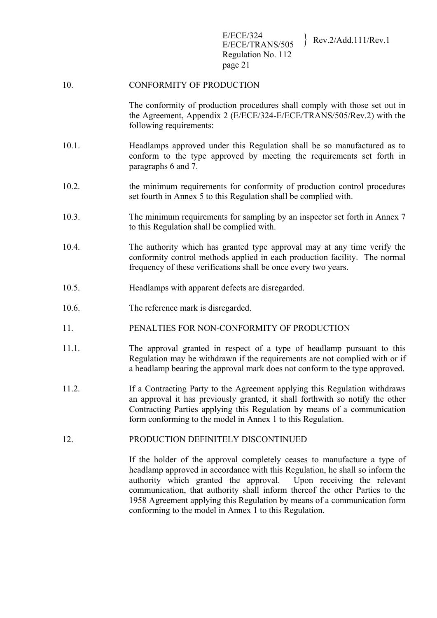# 10. CONFORMITY OF PRODUCTION

The conformity of production procedures shall comply with those set out in the Agreement, Appendix 2 (E/ECE/324-E/ECE/TRANS/505/Rev.2) with the following requirements:

- 10.1. Headlamps approved under this Regulation shall be so manufactured as to conform to the type approved by meeting the requirements set forth in paragraphs 6 and 7.
- 10.2. the minimum requirements for conformity of production control procedures set fourth in Annex 5 to this Regulation shall be complied with.
- 10.3. The minimum requirements for sampling by an inspector set forth in Annex 7 to this Regulation shall be complied with.
- 10.4. The authority which has granted type approval may at any time verify the conformity control methods applied in each production facility. The normal frequency of these verifications shall be once every two years.
- 10.5. Headlamps with apparent defects are disregarded.
- 10.6. The reference mark is disregarded.
- 11. PENALTIES FOR NON-CONFORMITY OF PRODUCTION
- 11.1. The approval granted in respect of a type of headlamp pursuant to this Regulation may be withdrawn if the requirements are not complied with or if a headlamp bearing the approval mark does not conform to the type approved.
- 11.2. If a Contracting Party to the Agreement applying this Regulation withdraws an approval it has previously granted, it shall forthwith so notify the other Contracting Parties applying this Regulation by means of a communication form conforming to the model in Annex 1 to this Regulation.
- 12. PRODUCTION DEFINITELY DISCONTINUED

If the holder of the approval completely ceases to manufacture a type of headlamp approved in accordance with this Regulation, he shall so inform the authority which granted the approval. Upon receiving the relevant communication, that authority shall inform thereof the other Parties to the 1958 Agreement applying this Regulation by means of a communication form conforming to the model in Annex 1 to this Regulation.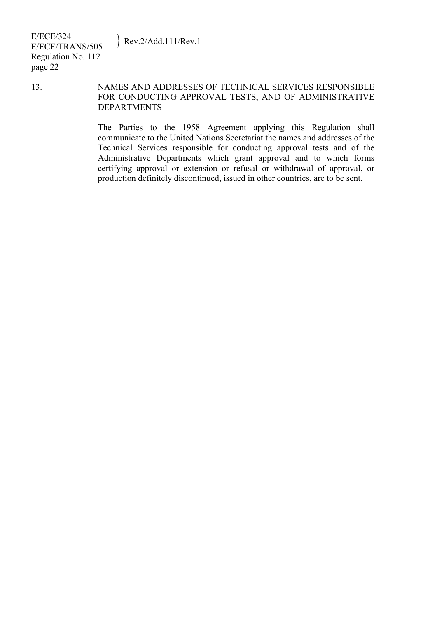### 13. NAMES AND ADDRESSES OF TECHNICAL SERVICES RESPONSIBLE FOR CONDUCTING APPROVAL TESTS, AND OF ADMINISTRATIVE DEPARTMENTS

The Parties to the 1958 Agreement applying this Regulation shall communicate to the United Nations Secretariat the names and addresses of the Technical Services responsible for conducting approval tests and of the Administrative Departments which grant approval and to which forms certifying approval or extension or refusal or withdrawal of approval, or production definitely discontinued, issued in other countries, are to be sent.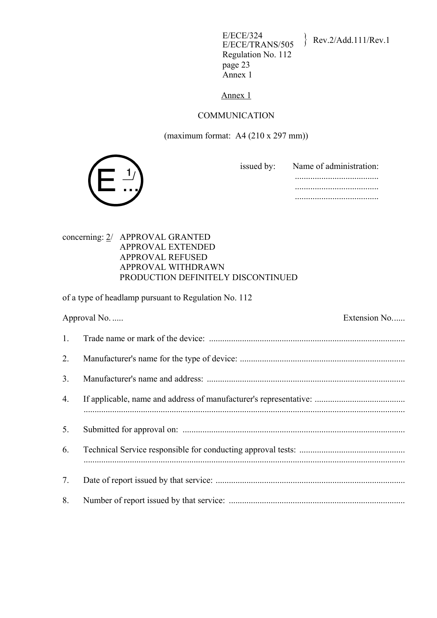E/ECE/324<br>E/ECE/TRANS/505 Rev.2/Add.111/Rev.1 Regulation No. 112 page 23 Annex 1

Annex 1

#### COMMUNICATION

(maximum format: A4 (210 x 297 mm))



 issued by: Name of administration: ...................................... ......................................

......................................

### concerning: 2/ APPROVAL GRANTED APPROVAL EXTENDED APPROVAL REFUSED APPROVAL WITHDRAWN PRODUCTION DEFINITELY DISCONTINUED

of a type of headlamp pursuant to Regulation No. 112

|                | Extension No<br>Approval No. |
|----------------|------------------------------|
| 1.             |                              |
| 2.             |                              |
| 3 <sub>1</sub> |                              |
| 4.             |                              |
| 5.             |                              |
| 6.             |                              |
| 7.             |                              |
| 8.             |                              |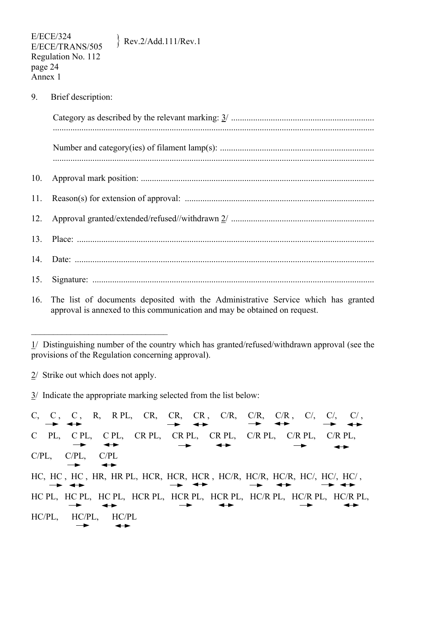9. Brief description:

16. The list of documents deposited with the Administrative Service which has granted approval is annexed to this communication and may be obtained on request.

2/ Strike out which does not apply.

\_\_\_\_\_\_\_\_\_\_\_\_\_\_\_\_\_\_\_\_\_\_\_\_\_\_\_\_\_\_\_

 $3/$  Indicate the appropriate marking selected from the list below:

C, C, C, R, RPL, CR, CR, CR, C/R, C/R, C/, C/, C/, C/, C/,  $\rightarrow$  $\rightarrow$ C PL, C PL, C PL, CR PL, CR PL, CR PL, C/R PL, C/R PL, C/R PL,  $\longrightarrow$  $\leftrightarrow$  $\rightarrow$  $\rightarrow$  $\rightarrow$ C/PL, C/PL, C/PL  $\rightarrow$  $\leftrightarrow$ HC, HC , HC , HR, HR PL, HCR, HCR, HCR , HC/R, HC/R, HC/R, HC/, HC/, HC/ ,  $\rightarrow$   $\rightarrow$  $\rightarrow$  $\leftrightarrow$  $\rightarrow$ HC PL, HC PL, HC PL, HCR PL, HCR PL, HC/R PL, HC/R PL, HC/R PL,  $\rightarrow$  $\rightarrow$  $\rightarrow$  $\rightarrow$  $\leftarrow$ HC/PL, HC/PL, HC/PL  $\rightarrow$  $\leftrightarrow$ 

<sup>1/</sup> Distinguishing number of the country which has granted/refused/withdrawn approval (see the provisions of the Regulation concerning approval).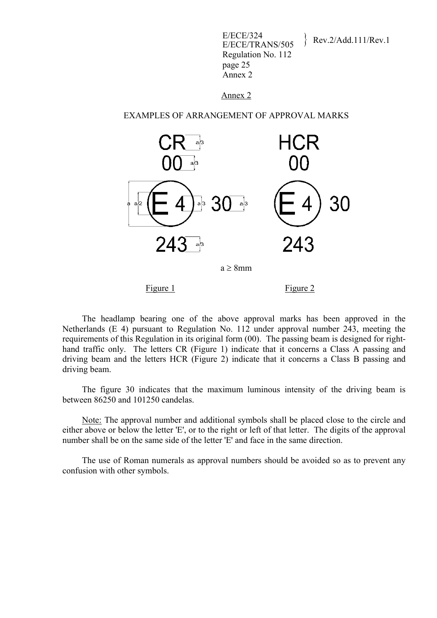| E/ECE/324<br>E/ECE/TRANS/505 | Rev.2/Add.111/Rev.1 |
|------------------------------|---------------------|
| Regulation No. 112           |                     |
| page 25                      |                     |
| Annex 2                      |                     |

#### Annex 2

#### EXAMPLES OF ARRANGEMENT OF APPROVAL MARKS



Figure 1 Figure 2

 The headlamp bearing one of the above approval marks has been approved in the Netherlands (E 4) pursuant to Regulation No. 112 under approval number 243, meeting the requirements of this Regulation in its original form (00). The passing beam is designed for righthand traffic only. The letters CR (Figure 1) indicate that it concerns a Class A passing and driving beam and the letters HCR (Figure 2) indicate that it concerns a Class B passing and driving beam.

 The figure 30 indicates that the maximum luminous intensity of the driving beam is between 86250 and 101250 candelas.

 Note: The approval number and additional symbols shall be placed close to the circle and either above or below the letter 'E', or to the right or left of that letter. The digits of the approval number shall be on the same side of the letter 'E' and face in the same direction.

 The use of Roman numerals as approval numbers should be avoided so as to prevent any confusion with other symbols.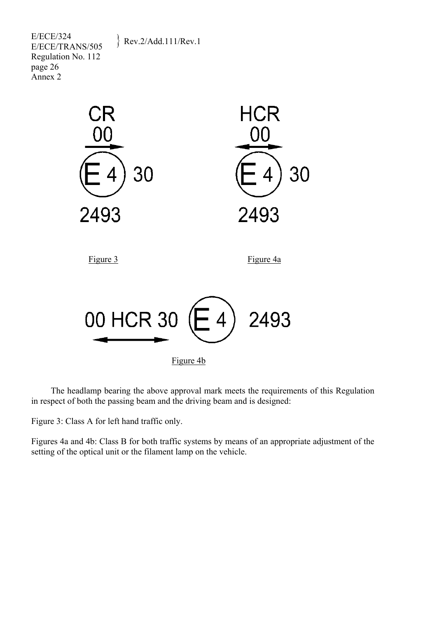E/ECE/324  $E/ECE/324$ <br>E/ECE/TRANS/505 Rev.2/Add.111/Rev.1 Regulation No. 112 page 26 Annex 2



 The headlamp bearing the above approval mark meets the requirements of this Regulation in respect of both the passing beam and the driving beam and is designed:

Figure 3: Class A for left hand traffic only.

Figures 4a and 4b: Class B for both traffic systems by means of an appropriate adjustment of the setting of the optical unit or the filament lamp on the vehicle.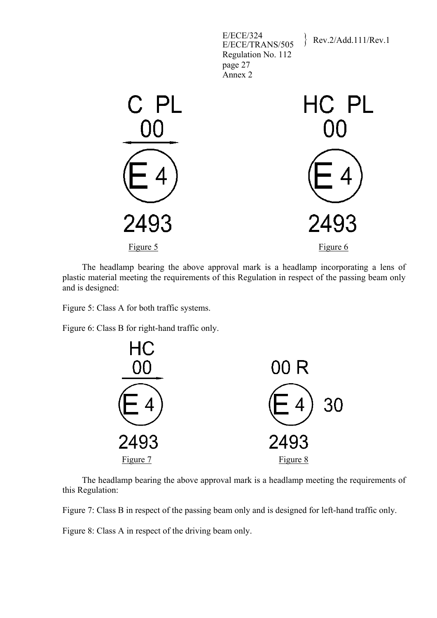

 The headlamp bearing the above approval mark is a headlamp incorporating a lens of plastic material meeting the requirements of this Regulation in respect of the passing beam only and is designed:

Figure 5: Class A for both traffic systems.

Figure 6: Class B for right-hand traffic only.



 The headlamp bearing the above approval mark is a headlamp meeting the requirements of this Regulation:

Figure 7: Class B in respect of the passing beam only and is designed for left-hand traffic only.

Figure 8: Class A in respect of the driving beam only.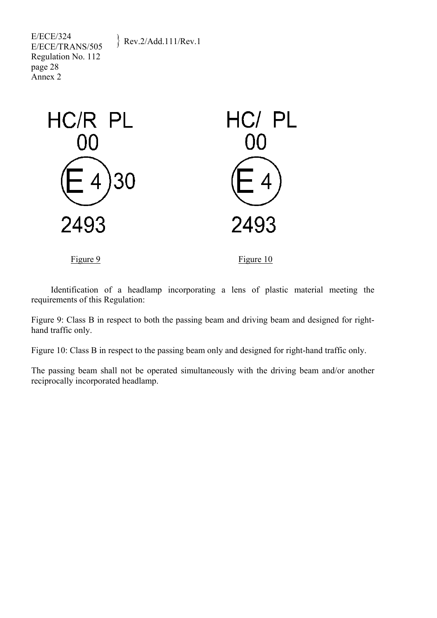E/ECE/324  $E/ECE/324$ <br>E/ECE/TRANS/505 Rev.2/Add.111/Rev.1 Regulation No. 112 page 28 Annex 2

requirements of this Regulation:



Identification of a headlamp incorporating a lens of plastic material meeting the

Figure 9: Class B in respect to both the passing beam and driving beam and designed for righthand traffic only.

Figure 10: Class B in respect to the passing beam only and designed for right-hand traffic only.

The passing beam shall not be operated simultaneously with the driving beam and/or another reciprocally incorporated headlamp.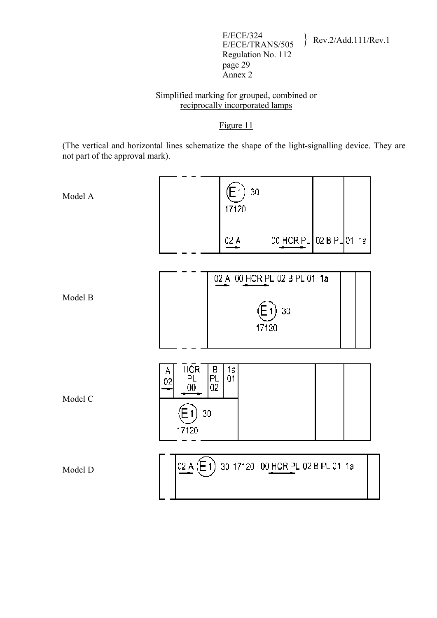E/ECE/324<br>E/ECE/TRANS/505 Rev.2/Add.111/Rev.1 Regulation No. 112 page 29 Annex 2

# Simplified marking for grouped, combined or reciprocally incorporated lamps

# Figure 11

(The vertical and horizontal lines schematize the shape of the light-signalling device. They are not part of the approval mark).

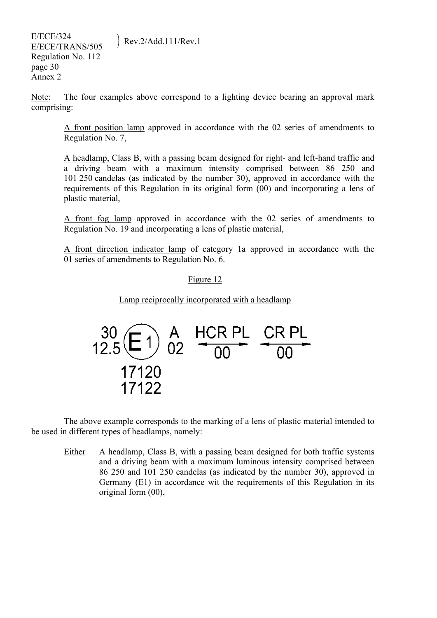E/ECE/324  $E/ECE/324$ <br> $E/ECE/TRANS/505$  Rev.2/Add.111/Rev.1 Regulation No. 112 page 30 Annex 2

Note: The four examples above correspond to a lighting device bearing an approval mark comprising:

A front position lamp approved in accordance with the 02 series of amendments to Regulation No. 7,

A headlamp, Class B, with a passing beam designed for right- and left-hand traffic and a driving beam with a maximum intensity comprised between 86 250 and 101 250 candelas (as indicated by the number 30), approved in accordance with the requirements of this Regulation in its original form (00) and incorporating a lens of plastic material,

A front fog lamp approved in accordance with the 02 series of amendments to Regulation No. 19 and incorporating a lens of plastic material,

A front direction indicator lamp of category 1a approved in accordance with the 01 series of amendments to Regulation No. 6.

### Figure 12

Lamp reciprocally incorporated with a headlamp



 The above example corresponds to the marking of a lens of plastic material intended to be used in different types of headlamps, namely:

Either A headlamp, Class B, with a passing beam designed for both traffic systems and a driving beam with a maximum luminous intensity comprised between 86 250 and 101 250 candelas (as indicated by the number 30), approved in Germany (E1) in accordance wit the requirements of this Regulation in its original form (00),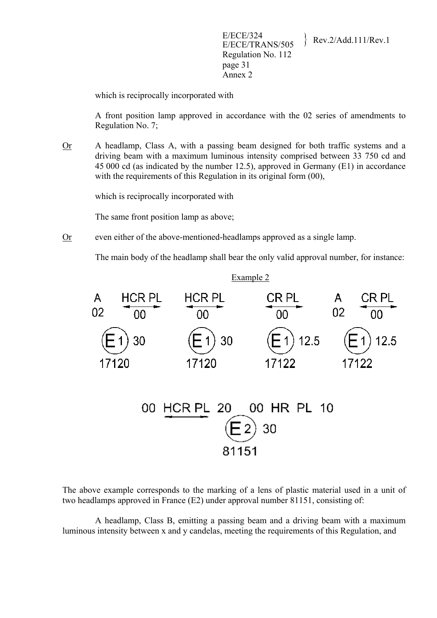which is reciprocally incorporated with

A front position lamp approved in accordance with the 02 series of amendments to Regulation No. 7;

Or A headlamp, Class A, with a passing beam designed for both traffic systems and a driving beam with a maximum luminous intensity comprised between 33 750 cd and 45 000 cd (as indicated by the number 12.5), approved in Germany (E1) in accordance with the requirements of this Regulation in its original form  $(00)$ ,

which is reciprocally incorporated with

The same front position lamp as above;

Or even either of the above-mentioned-headlamps approved as a single lamp.

The main body of the headlamp shall bear the only valid approval number, for instance:



| 00 HCR PL 20 00 HR PL 10 |       |            |  |  |
|--------------------------|-------|------------|--|--|
|                          |       | $(E_2)$ 30 |  |  |
|                          |       |            |  |  |
|                          | 81151 |            |  |  |

The above example corresponds to the marking of a lens of plastic material used in a unit of two headlamps approved in France (E2) under approval number 81151, consisting of:

 A headlamp, Class B, emitting a passing beam and a driving beam with a maximum luminous intensity between x and y candelas, meeting the requirements of this Regulation, and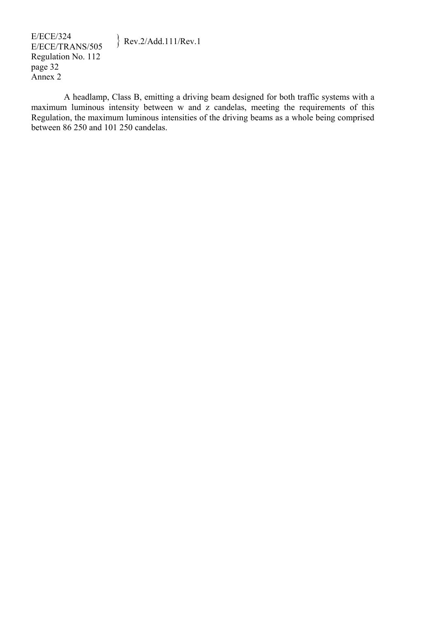A headlamp, Class B, emitting a driving beam designed for both traffic systems with a maximum luminous intensity between w and z candelas, meeting the requirements of this Regulation, the maximum luminous intensities of the driving beams as a whole being comprised between 86 250 and 101 250 candelas.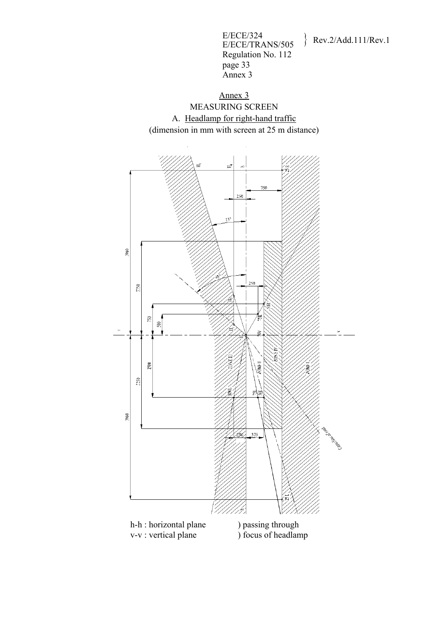E/ECE/324  $E/ECE/324$ <br>E/ECE/TRANS/505 Rev.2/Add.111/Rev.1 Regulation No. 112 page 33 Annex 3



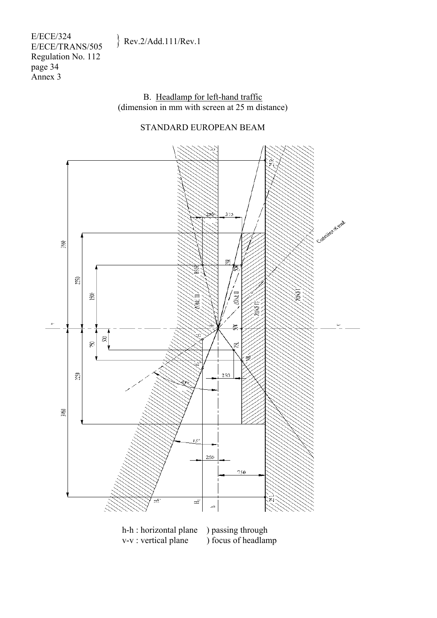E/ECE/324  $E/ECE/324$ <br>E/ECE/TRANS/505 Rev.2/Add.111/Rev.1 Regulation No. 112 page 34 Annex 3

> B. Headlamp for left-hand traffic (dimension in mm with screen at 25 m distance)

# STANDARD EUROPEAN BEAM



h-h : horizontal plane ) passing through v-v : vertical plane ) focus of headlamp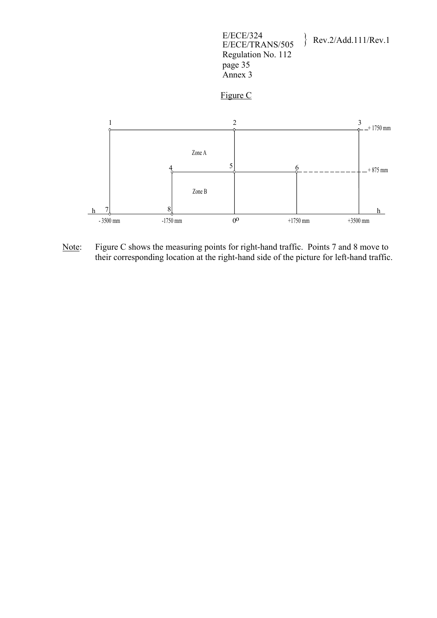





Note: Figure C shows the measuring points for right-hand traffic. Points 7 and 8 move to their corresponding location at the right-hand side of the picture for left-hand traffic.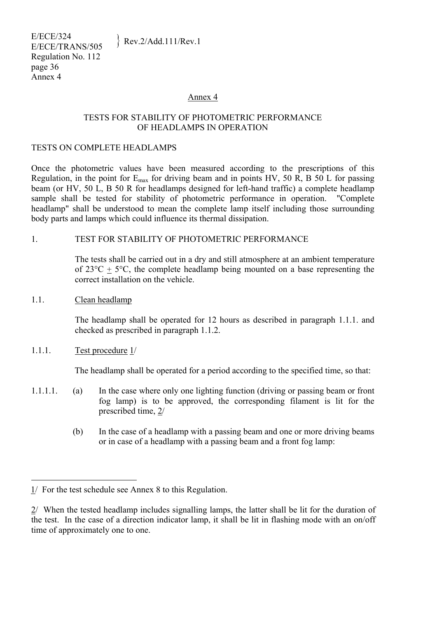#### Annex 4

#### TESTS FOR STABILITY OF PHOTOMETRIC PERFORMANCE OF HEADLAMPS IN OPERATION

#### TESTS ON COMPLETE HEADLAMPS

Once the photometric values have been measured according to the prescriptions of this Regulation, in the point for  $E_{\text{max}}$  for driving beam and in points HV, 50 R, B 50 L for passing beam (or HV, 50 L, B 50 R for headlamps designed for left-hand traffic) a complete headlamp sample shall be tested for stability of photometric performance in operation. "Complete headlamp" shall be understood to mean the complete lamp itself including those surrounding body parts and lamps which could influence its thermal dissipation.

### 1. TEST FOR STABILITY OF PHOTOMETRIC PERFORMANCE

The tests shall be carried out in a dry and still atmosphere at an ambient temperature of  $23^{\circ}C + 5^{\circ}C$ , the complete headlamp being mounted on a base representing the correct installation on the vehicle.

1.1. Clean headlamp

The headlamp shall be operated for 12 hours as described in paragraph 1.1.1. and checked as prescribed in paragraph 1.1.2.

### 1.1.1. Test procedure 1/

 $\overline{a}$ 

The headlamp shall be operated for a period according to the specified time, so that:

- 1.1.1.1. (a) In the case where only one lighting function (driving or passing beam or front fog lamp) is to be approved, the corresponding filament is lit for the prescribed time, 2/
	- (b) In the case of a headlamp with a passing beam and one or more driving beams or in case of a headlamp with a passing beam and a front fog lamp:

<sup>1/</sup> For the test schedule see Annex 8 to this Regulation.

<sup>2/</sup> When the tested headlamp includes signalling lamps, the latter shall be lit for the duration of the test. In the case of a direction indicator lamp, it shall be lit in flashing mode with an on/off time of approximately one to one.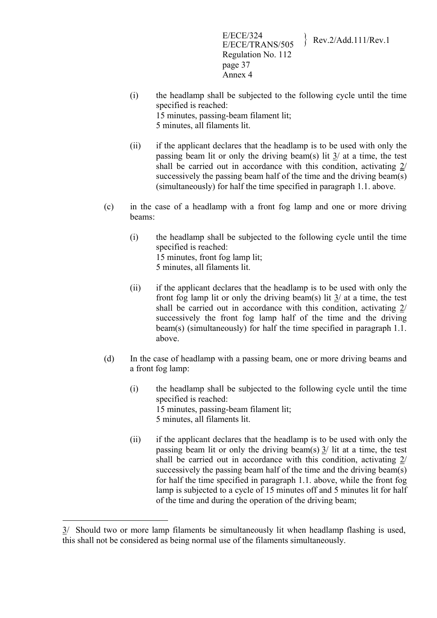E/ECE/324<br>E/ECE/TRANS/505 Rev.2/Add.111/Rev.1 Regulation No. 112 page 37 Annex 4

- (i) the headlamp shall be subjected to the following cycle until the time specified is reached: 15 minutes, passing-beam filament lit; 5 minutes, all filaments lit.
- (ii) if the applicant declares that the headlamp is to be used with only the passing beam lit or only the driving beam(s) lit 3/ at a time, the test shall be carried out in accordance with this condition, activating 2/ successively the passing beam half of the time and the driving beam(s) (simultaneously) for half the time specified in paragraph 1.1. above.
- (c) in the case of a headlamp with a front fog lamp and one or more driving beams:
	- (i) the headlamp shall be subjected to the following cycle until the time specified is reached: 15 minutes, front fog lamp lit; 5 minutes, all filaments lit.
	- (ii) if the applicant declares that the headlamp is to be used with only the front fog lamp lit or only the driving beam(s) lit 3/ at a time, the test shall be carried out in accordance with this condition, activating 2/ successively the front fog lamp half of the time and the driving beam(s) (simultaneously) for half the time specified in paragraph 1.1. above.
- (d) In the case of headlamp with a passing beam, one or more driving beams and a front fog lamp:
	- (i) the headlamp shall be subjected to the following cycle until the time specified is reached: 15 minutes, passing-beam filament lit; 5 minutes, all filaments lit.
	- (ii) if the applicant declares that the headlamp is to be used with only the passing beam lit or only the driving beam(s) 3/ lit at a time, the test shall be carried out in accordance with this condition, activating 2/ successively the passing beam half of the time and the driving beam(s) for half the time specified in paragraph 1.1. above, while the front fog lamp is subjected to a cycle of 15 minutes off and 5 minutes lit for half of the time and during the operation of the driving beam;

1

<sup>3/</sup> Should two or more lamp filaments be simultaneously lit when headlamp flashing is used, this shall not be considered as being normal use of the filaments simultaneously.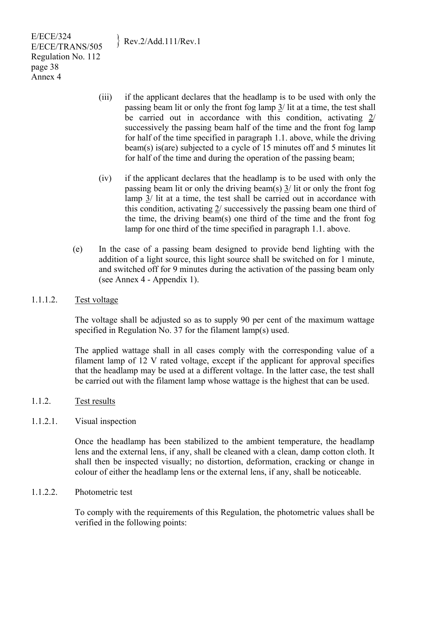E/ECE/324  $E/ECE/324$ <br>E/ECE/TRANS/505 Rev.2/Add.111/Rev.1 Regulation No. 112 page 38 Annex 4

- (iii) if the applicant declares that the headlamp is to be used with only the passing beam lit or only the front fog lamp 3/ lit at a time, the test shall be carried out in accordance with this condition, activating 2/ successively the passing beam half of the time and the front fog lamp for half of the time specified in paragraph 1.1. above, while the driving beam(s) is(are) subjected to a cycle of 15 minutes off and 5 minutes lit for half of the time and during the operation of the passing beam;
- (iv) if the applicant declares that the headlamp is to be used with only the passing beam lit or only the driving beam(s)  $\frac{3}{1}$  lit or only the front fog lamp  $3/$  lit at a time, the test shall be carried out in accordance with this condition, activating 2/ successively the passing beam one third of the time, the driving beam(s) one third of the time and the front fog lamp for one third of the time specified in paragraph 1.1. above.
- (e) In the case of a passing beam designed to provide bend lighting with the addition of a light source, this light source shall be switched on for 1 minute, and switched off for 9 minutes during the activation of the passing beam only (see Annex 4 - Appendix 1).
- 1.1.1.2. Test voltage

The voltage shall be adjusted so as to supply 90 per cent of the maximum wattage specified in Regulation No. 37 for the filament lamp(s) used.

The applied wattage shall in all cases comply with the corresponding value of a filament lamp of 12 V rated voltage, except if the applicant for approval specifies that the headlamp may be used at a different voltage. In the latter case, the test shall be carried out with the filament lamp whose wattage is the highest that can be used.

- 1.1.2. Test results
- 1.1.2.1. Visual inspection

Once the headlamp has been stabilized to the ambient temperature, the headlamp lens and the external lens, if any, shall be cleaned with a clean, damp cotton cloth. It shall then be inspected visually; no distortion, deformation, cracking or change in colour of either the headlamp lens or the external lens, if any, shall be noticeable.

1.1.2.2. Photometric test

To comply with the requirements of this Regulation, the photometric values shall be verified in the following points: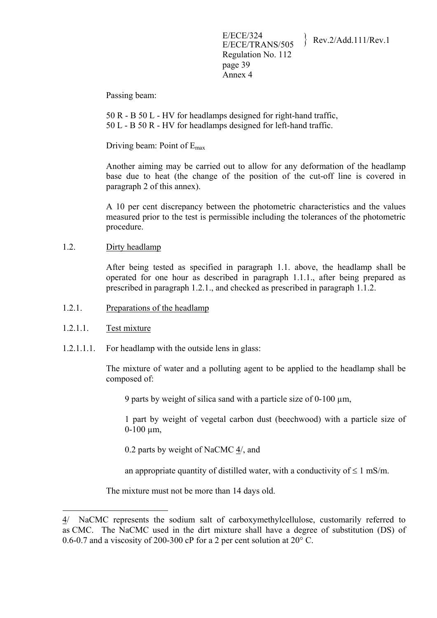Passing beam:

50 R - B 50 L - HV for headlamps designed for right-hand traffic, 50 L - B 50 R - HV for headlamps designed for left-hand traffic.

Driving beam: Point of Emax

Another aiming may be carried out to allow for any deformation of the headlamp base due to heat (the change of the position of the cut-off line is covered in paragraph 2 of this annex).

A 10 per cent discrepancy between the photometric characteristics and the values measured prior to the test is permissible including the tolerances of the photometric procedure.

1.2. Dirty headlamp

After being tested as specified in paragraph 1.1. above, the headlamp shall be operated for one hour as described in paragraph 1.1.1., after being prepared as prescribed in paragraph 1.2.1., and checked as prescribed in paragraph 1.1.2.

- 1.2.1. Preparations of the headlamp
- 1.2.1.1. Test mixture

1

1.2.1.1.1. For headlamp with the outside lens in glass:

The mixture of water and a polluting agent to be applied to the headlamp shall be composed of:

9 parts by weight of silica sand with a particle size of 0-100 um.

1 part by weight of vegetal carbon dust (beechwood) with a particle size of  $0-100 \mu m$ ,

0.2 parts by weight of NaCMC 4/, and

an appropriate quantity of distilled water, with a conductivity of  $\leq 1$  mS/m.

The mixture must not be more than 14 days old.

<sup>4/</sup> NaCMC represents the sodium salt of carboxymethylcellulose, customarily referred to as CMC. The NaCMC used in the dirt mixture shall have a degree of substitution (DS) of 0.6-0.7 and a viscosity of 200-300 cP for a 2 per cent solution at 20° C.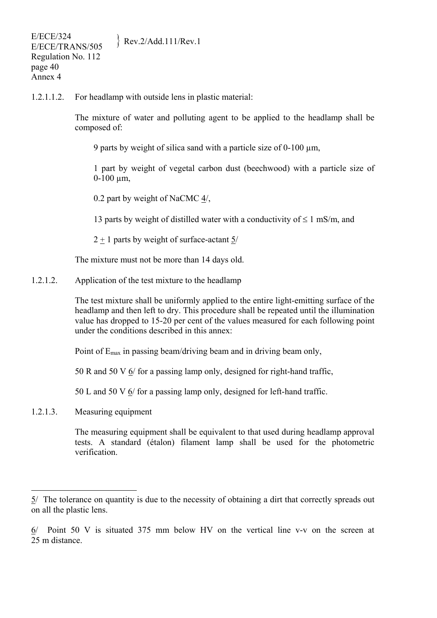1.2.1.1.2. For headlamp with outside lens in plastic material:

The mixture of water and polluting agent to be applied to the headlamp shall be composed of:

9 parts by weight of silica sand with a particle size of  $0-100 \mu m$ ,

1 part by weight of vegetal carbon dust (beechwood) with a particle size of  $0-100 \mu m$ ,

0.2 part by weight of NaCMC 4/,

13 parts by weight of distilled water with a conductivity of  $\leq 1$  mS/m, and

2 + 1 parts by weight of surface-actant 5/

The mixture must not be more than 14 days old.

1.2.1.2. Application of the test mixture to the headlamp

The test mixture shall be uniformly applied to the entire light-emitting surface of the headlamp and then left to dry. This procedure shall be repeated until the illumination value has dropped to 15-20 per cent of the values measured for each following point under the conditions described in this annex:

Point of  $E_{\text{max}}$  in passing beam/driving beam and in driving beam only,

50 R and 50 V 6/ for a passing lamp only, designed for right-hand traffic,

50 L and 50 V 6/ for a passing lamp only, designed for left-hand traffic.

1.2.1.3. Measuring equipment

 $\overline{a}$ 

The measuring equipment shall be equivalent to that used during headlamp approval tests. A standard (étalon) filament lamp shall be used for the photometric verification.

<sup>5/</sup> The tolerance on quantity is due to the necessity of obtaining a dirt that correctly spreads out on all the plastic lens.

<sup>6/</sup> Point 50 V is situated 375 mm below HV on the vertical line v-v on the screen at 25 m distance.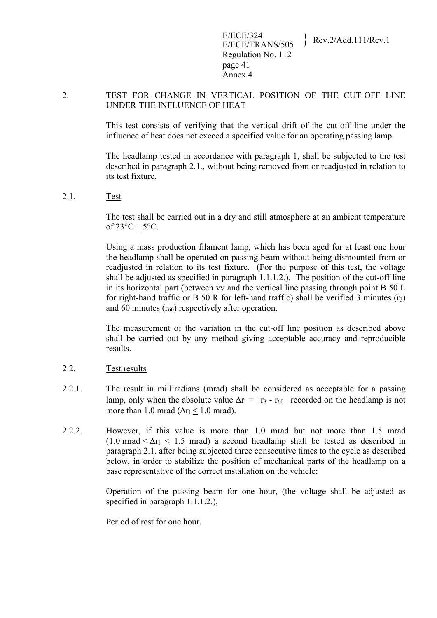### 2. TEST FOR CHANGE IN VERTICAL POSITION OF THE CUT-OFF LINE UNDER THE INFLUENCE OF HEAT

This test consists of verifying that the vertical drift of the cut-off line under the influence of heat does not exceed a specified value for an operating passing lamp.

The headlamp tested in accordance with paragraph 1, shall be subjected to the test described in paragraph 2.1., without being removed from or readjusted in relation to its test fixture.

#### 2.1. Test

The test shall be carried out in a dry and still atmosphere at an ambient temperature of  $23^{\circ}C + 5^{\circ}C$ .

Using a mass production filament lamp, which has been aged for at least one hour the headlamp shall be operated on passing beam without being dismounted from or readjusted in relation to its test fixture. (For the purpose of this test, the voltage shall be adjusted as specified in paragraph  $1.1.1.2$ .). The position of the cut-off line in its horizontal part (between vv and the vertical line passing through point B 50 L for right-hand traffic or B 50 R for left-hand traffic) shall be verified 3 minutes  $(r_3)$ and 60 minutes  $(r_{60})$  respectively after operation.

The measurement of the variation in the cut-off line position as described above shall be carried out by any method giving acceptable accuracy and reproducible results.

#### 2.2. Test results

- 2.2.1. The result in milliradians (mrad) shall be considered as acceptable for a passing lamp, only when the absolute value  $\Delta r_1 = |r_3 - r_{60}|$  recorded on the headlamp is not more than 1.0 mrad ( $\Delta r_I < 1.0$  mrad).
- 2.2.2. However, if this value is more than 1.0 mrad but not more than 1.5 mrad  $(1.0 \text{ mrad} < \Delta r_I < 1.5 \text{ mrad})$  a second headlamp shall be tested as described in paragraph 2.1. after being subjected three consecutive times to the cycle as described below, in order to stabilize the position of mechanical parts of the headlamp on a base representative of the correct installation on the vehicle:

Operation of the passing beam for one hour, (the voltage shall be adjusted as specified in paragraph 1.1.1.2.),

Period of rest for one hour.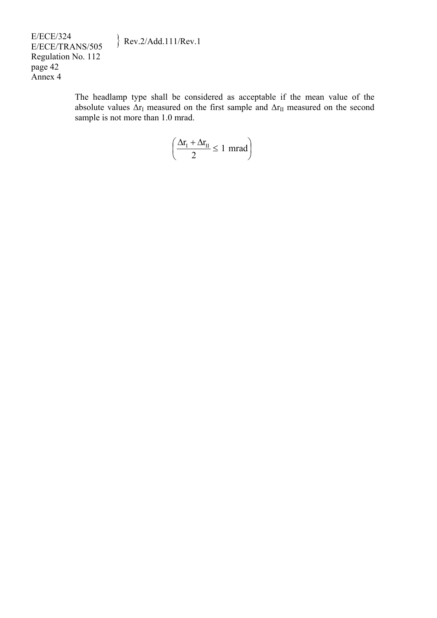# $\text{Rev.2/Add.111/Rev.1}$

E/ECE/324<br>E/ECE/TRANS/505 Regulation No. 112 page 42 Annex 4

> The headlamp type shall be considered as acceptable if the mean value of the absolute values  $\Delta r_I$  measured on the first sample and  $\Delta r_{II}$  measured on the second sample is not more than 1.0 mrad.

$$
\left(\frac{\Delta r_{I} + \Delta r_{II}}{2} \le 1 \text{ mrad}\right)
$$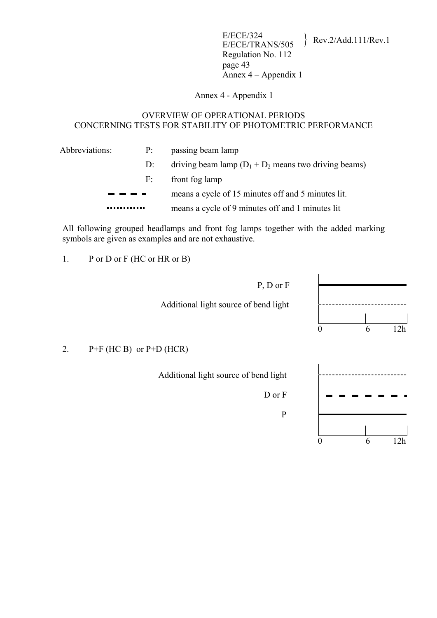#### Annex 4 - Appendix 1

#### OVERVIEW OF OPERATIONAL PERIODS CONCERNING TESTS FOR STABILITY OF PHOTOMETRIC PERFORMANCE

| Abbreviations: | P:    | passing beam lamp                                        |
|----------------|-------|----------------------------------------------------------|
|                | $D$ : | driving beam lamp $(D_1 + D_2)$ means two driving beams) |
|                | F:    | front fog lamp                                           |
|                |       | means a cycle of 15 minutes off and 5 minutes lit.       |
|                |       | means a cycle of 9 minutes off and 1 minutes lit         |

All following grouped headlamps and front fog lamps together with the added marking symbols are given as examples and are not exhaustive.

1. P or D or F (HC or HR or B)

 P, D or F Additional light source of bend light 0 6 12h D or F



### 2.  $P+F$  (HC B) or  $P+D$  (HCR)

Additional light source of bend light

P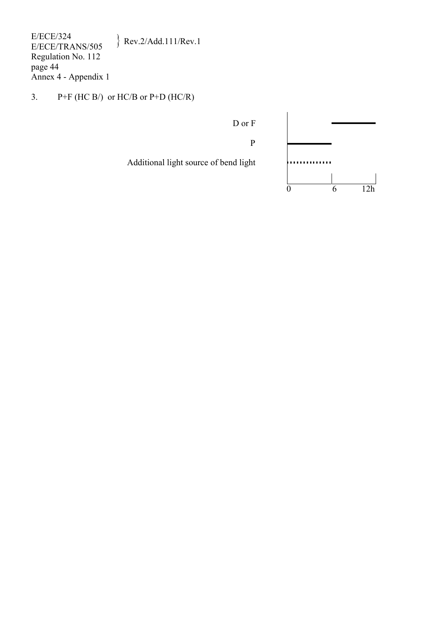E/ECE/324<br>E/ECE/TRANS/505  $\text{Rev.2/Add.111/Rev.1}$ Regulation No. 112 page 44 Annex 4 - Appendix 1

3.  $P+F$  (HC B/) or HC/B or P+D (HC/R)

D or F

P

Additional light source of bend light  $\qquad \qquad$  ~  $\qquad \qquad$  ~  $\qquad \qquad$  ~  $\qquad \qquad$  ~  $\qquad \qquad$  ~  $\qquad \qquad$  ~  $\qquad \qquad$  ~  $\qquad \qquad$  ~  $\qquad \qquad$  ~  $\qquad \qquad$  ~  $\qquad \qquad$  ~  $\qquad \qquad$  ~  $\qquad \qquad$  ~  $\qquad \qquad$  ~  $\qquad \qquad$  ~  $\qquad \qquad$  ~  $\qquad \qquad$ 

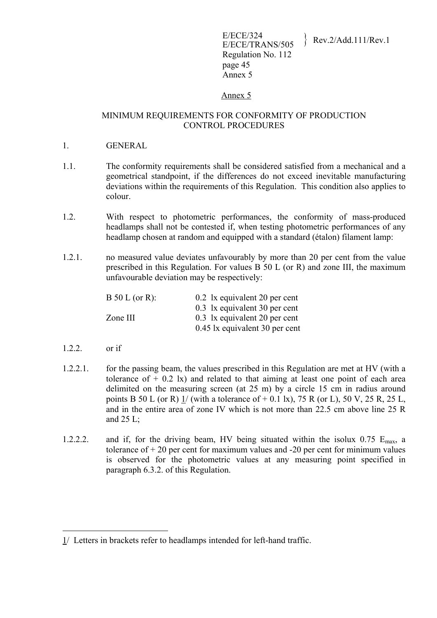### Annex 5

#### MINIMUM REQUIREMENTS FOR CONFORMITY OF PRODUCTION CONTROL PROCEDURES

- 1. GENERAL
- 1.1. The conformity requirements shall be considered satisfied from a mechanical and a geometrical standpoint, if the differences do not exceed inevitable manufacturing deviations within the requirements of this Regulation. This condition also applies to colour.
- 1.2. With respect to photometric performances, the conformity of mass-produced headlamps shall not be contested if, when testing photometric performances of any headlamp chosen at random and equipped with a standard (étalon) filament lamp:
- 1.2.1. no measured value deviates unfavourably by more than 20 per cent from the value prescribed in this Regulation. For values B 50 L (or R) and zone III, the maximum unfavourable deviation may be respectively:

| $B 50 L (or R)$ : | 0.2 1x equivalent 20 per cent  |
|-------------------|--------------------------------|
|                   | 0.3 1x equivalent 30 per cent  |
| Zone III          | 0.3 lx equivalent 20 per cent  |
|                   | 0.45 lx equivalent 30 per cent |

1.2.2. or if

<u>.</u>

- 1.2.2.1. for the passing beam, the values prescribed in this Regulation are met at HV (with a tolerance of  $+$  0.2 lx) and related to that aiming at least one point of each area delimited on the measuring screen (at 25 m) by a circle 15 cm in radius around points B 50 L (or R)  $1/$  (with a tolerance of  $+$  0.1 lx), 75 R (or L), 50 V, 25 R, 25 L, and in the entire area of zone IV which is not more than 22.5 cm above line 25 R and  $25$  L;
- 1.2.2.2. and if, for the driving beam, HV being situated within the isolux  $0.75$  E<sub>max</sub>, a tolerance of  $+20$  per cent for maximum values and  $-20$  per cent for minimum values is observed for the photometric values at any measuring point specified in paragraph 6.3.2. of this Regulation.

<sup>1/</sup> Letters in brackets refer to headlamps intended for left-hand traffic.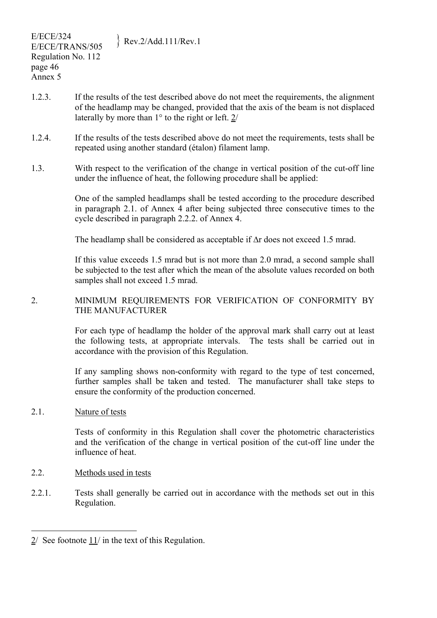- 1.2.3. If the results of the test described above do not meet the requirements, the alignment of the headlamp may be changed, provided that the axis of the beam is not displaced laterally by more than 1° to the right or left. 2/
- 1.2.4. If the results of the tests described above do not meet the requirements, tests shall be repeated using another standard (étalon) filament lamp.
- 1.3. With respect to the verification of the change in vertical position of the cut-off line under the influence of heat, the following procedure shall be applied:

One of the sampled headlamps shall be tested according to the procedure described in paragraph 2.1. of Annex 4 after being subjected three consecutive times to the cycle described in paragraph 2.2.2. of Annex 4.

The headlamp shall be considered as acceptable if Δr does not exceed 1.5 mrad.

If this value exceeds 1.5 mrad but is not more than 2.0 mrad, a second sample shall be subjected to the test after which the mean of the absolute values recorded on both samples shall not exceed 1.5 mrad.

#### 2. MINIMUM REQUIREMENTS FOR VERIFICATION OF CONFORMITY BY THE MANUFACTURER

For each type of headlamp the holder of the approval mark shall carry out at least the following tests, at appropriate intervals. The tests shall be carried out in accordance with the provision of this Regulation.

If any sampling shows non-conformity with regard to the type of test concerned, further samples shall be taken and tested. The manufacturer shall take steps to ensure the conformity of the production concerned.

#### 2.1. Nature of tests

 $\overline{a}$ 

Tests of conformity in this Regulation shall cover the photometric characteristics and the verification of the change in vertical position of the cut-off line under the influence of heat.

#### 2.2. Methods used in tests

2.2.1. Tests shall generally be carried out in accordance with the methods set out in this Regulation.

<sup>2/</sup> See footnote 11/ in the text of this Regulation.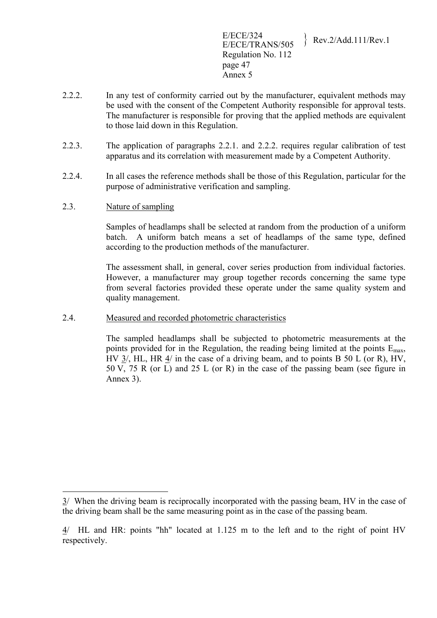E/ECE/324<br>E/ECE/TRANS/505 Rev.2/Add.111/Rev.1 Regulation No. 112 page 47 Annex 5

- 2.2.2. In any test of conformity carried out by the manufacturer, equivalent methods may be used with the consent of the Competent Authority responsible for approval tests. The manufacturer is responsible for proving that the applied methods are equivalent to those laid down in this Regulation.
- 2.2.3. The application of paragraphs 2.2.1. and 2.2.2. requires regular calibration of test apparatus and its correlation with measurement made by a Competent Authority.
- 2.2.4. In all cases the reference methods shall be those of this Regulation, particular for the purpose of administrative verification and sampling.
- 2.3. Nature of sampling

1

Samples of headlamps shall be selected at random from the production of a uniform batch. A uniform batch means a set of headlamps of the same type, defined according to the production methods of the manufacturer.

The assessment shall, in general, cover series production from individual factories. However, a manufacturer may group together records concerning the same type from several factories provided these operate under the same quality system and quality management.

2.4. Measured and recorded photometric characteristics

The sampled headlamps shall be subjected to photometric measurements at the points provided for in the Regulation, the reading being limited at the points  $E_{\text{max}}$ , HV  $3/$ , HL, HR  $4/$  in the case of a driving beam, and to points B  $50$  L (or R), HV, 50 V, 75 R (or L) and 25 L (or R) in the case of the passing beam (see figure in Annex 3).

<sup>3/</sup> When the driving beam is reciprocally incorporated with the passing beam, HV in the case of the driving beam shall be the same measuring point as in the case of the passing beam.

<sup>4/</sup> HL and HR: points "hh" located at 1.125 m to the left and to the right of point HV respectively.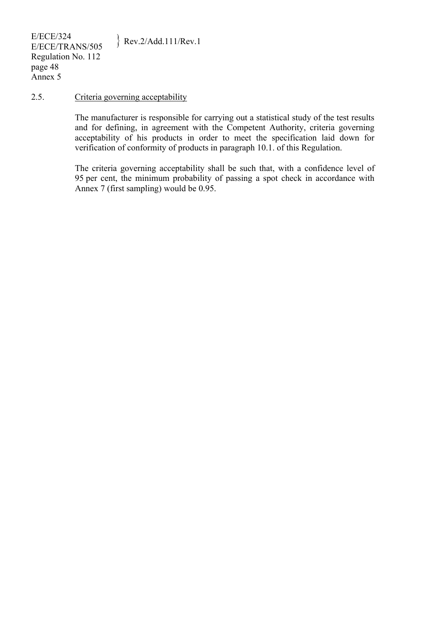#### 2.5. Criteria governing acceptability

The manufacturer is responsible for carrying out a statistical study of the test results and for defining, in agreement with the Competent Authority, criteria governing acceptability of his products in order to meet the specification laid down for verification of conformity of products in paragraph 10.1. of this Regulation.

The criteria governing acceptability shall be such that, with a confidence level of 95 per cent, the minimum probability of passing a spot check in accordance with Annex 7 (first sampling) would be 0.95.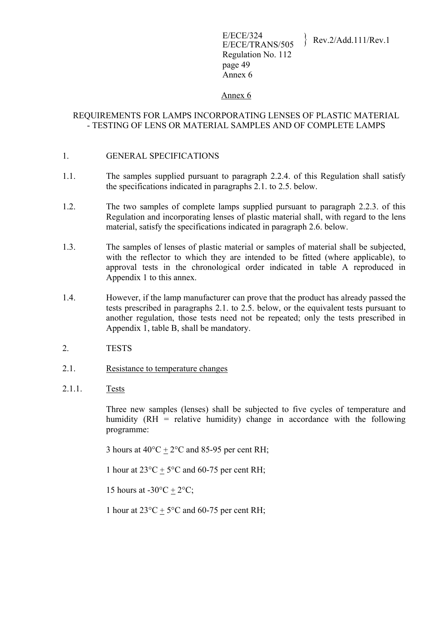#### Annex 6

#### REQUIREMENTS FOR LAMPS INCORPORATING LENSES OF PLASTIC MATERIAL - TESTING OF LENS OR MATERIAL SAMPLES AND OF COMPLETE LAMPS

- 1. GENERAL SPECIFICATIONS
- 1.1. The samples supplied pursuant to paragraph 2.2.4. of this Regulation shall satisfy the specifications indicated in paragraphs 2.1. to 2.5. below.
- 1.2. The two samples of complete lamps supplied pursuant to paragraph 2.2.3. of this Regulation and incorporating lenses of plastic material shall, with regard to the lens material, satisfy the specifications indicated in paragraph 2.6. below.
- 1.3. The samples of lenses of plastic material or samples of material shall be subjected, with the reflector to which they are intended to be fitted (where applicable), to approval tests in the chronological order indicated in table A reproduced in Appendix 1 to this annex.
- 1.4. However, if the lamp manufacturer can prove that the product has already passed the tests prescribed in paragraphs 2.1. to 2.5. below, or the equivalent tests pursuant to another regulation, those tests need not be repeated; only the tests prescribed in Appendix 1, table B, shall be mandatory.
- 2. TESTS
- 2.1. Resistance to temperature changes
- 2.1.1. Tests

Three new samples (lenses) shall be subjected to five cycles of temperature and humidity (RH = relative humidity) change in accordance with the following programme:

3 hours at  $40^{\circ}$ C +  $2^{\circ}$ C and 85-95 per cent RH;

1 hour at  $23^{\circ}$ C + 5°C and 60-75 per cent RH;

15 hours at  $-30^{\circ}\text{C} + 2^{\circ}\text{C}$ ;

1 hour at  $23^{\circ}$ C + 5<sup>o</sup>C and 60-75 per cent RH;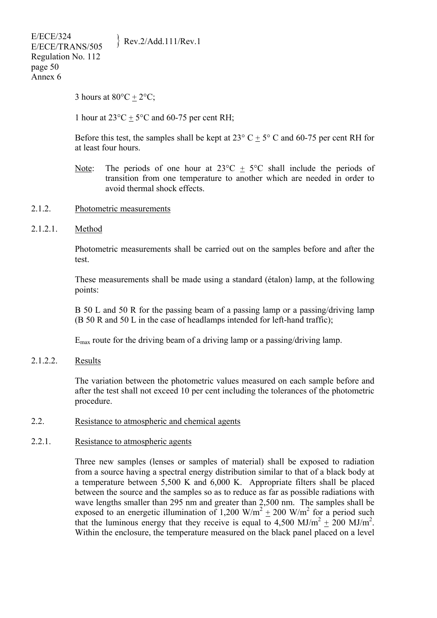3 hours at  $80^{\circ}$ C +  $2^{\circ}$ C;

1 hour at  $23^{\circ}$ C + 5°C and 60-75 per cent RH;

Before this test, the samples shall be kept at  $23^{\circ}$  C  $\pm$  5° C and 60-75 per cent RH for at least four hours.

- Note: The periods of one hour at  $23^{\circ}\text{C} \pm 5^{\circ}\text{C}$  shall include the periods of transition from one temperature to another which are needed in order to avoid thermal shock effects.
- 2.1.2. Photometric measurements
- 2.1.2.1. Method

Photometric measurements shall be carried out on the samples before and after the test.

These measurements shall be made using a standard (étalon) lamp, at the following points:

B 50 L and 50 R for the passing beam of a passing lamp or a passing/driving lamp (B 50 R and 50 L in the case of headlamps intended for left-hand traffic);

Emax route for the driving beam of a driving lamp or a passing/driving lamp.

2.1.2.2. Results

The variation between the photometric values measured on each sample before and after the test shall not exceed 10 per cent including the tolerances of the photometric procedure.

### 2.2. Resistance to atmospheric and chemical agents

#### 2.2.1. Resistance to atmospheric agents

Three new samples (lenses or samples of material) shall be exposed to radiation from a source having a spectral energy distribution similar to that of a black body at a temperature between 5,500 K and 6,000 K. Appropriate filters shall be placed between the source and the samples so as to reduce as far as possible radiations with wave lengths smaller than 295 nm and greater than 2,500 nm. The samples shall be exposed to an energetic illumination of 1,200 W/m<sup>2</sup>  $\pm$  200 W/m<sup>2</sup> for a period such that the luminous energy that they receive is equal to 4,500 MJ/m<sup>2</sup>  $\pm$  200 MJ/m<sup>2</sup>. Within the enclosure, the temperature measured on the black panel placed on a level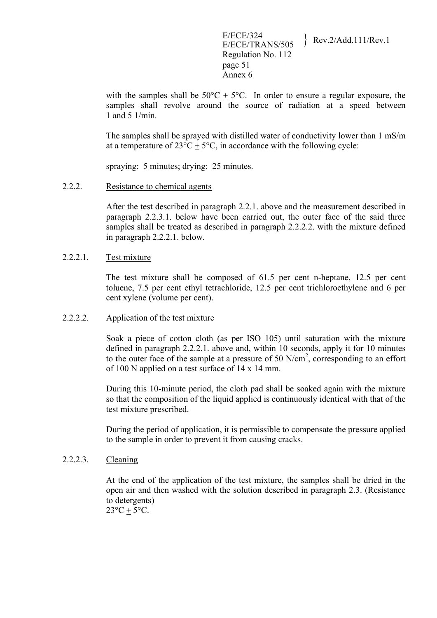with the samples shall be  $50^{\circ}C + 5^{\circ}C$ . In order to ensure a regular exposure, the samples shall revolve around the source of radiation at a speed between 1 and 5 1/min.

The samples shall be sprayed with distilled water of conductivity lower than 1 mS/m at a temperature of  $23^{\circ}\text{C} + 5^{\circ}\text{C}$ , in accordance with the following cycle:

spraying: 5 minutes; drying: 25 minutes.

#### 2.2.2. Resistance to chemical agents

After the test described in paragraph 2.2.1. above and the measurement described in paragraph 2.2.3.1. below have been carried out, the outer face of the said three samples shall be treated as described in paragraph 2.2.2.2. with the mixture defined in paragraph 2.2.2.1. below.

#### 2.2.2.1. Test mixture

The test mixture shall be composed of 61.5 per cent n-heptane, 12.5 per cent toluene, 7.5 per cent ethyl tetrachloride, 12.5 per cent trichloroethylene and 6 per cent xylene (volume per cent).

#### 2.2.2.2. Application of the test mixture

Soak a piece of cotton cloth (as per ISO 105) until saturation with the mixture defined in paragraph 2.2.2.1. above and, within 10 seconds, apply it for 10 minutes to the outer face of the sample at a pressure of 50  $N/cm<sup>2</sup>$ , corresponding to an effort of 100 N applied on a test surface of 14 x 14 mm.

During this 10-minute period, the cloth pad shall be soaked again with the mixture so that the composition of the liquid applied is continuously identical with that of the test mixture prescribed.

During the period of application, it is permissible to compensate the pressure applied to the sample in order to prevent it from causing cracks.

#### 2.2.2.3. Cleaning

At the end of the application of the test mixture, the samples shall be dried in the open air and then washed with the solution described in paragraph 2.3. (Resistance to detergents)  $23^{\circ}C + 5^{\circ}C$ .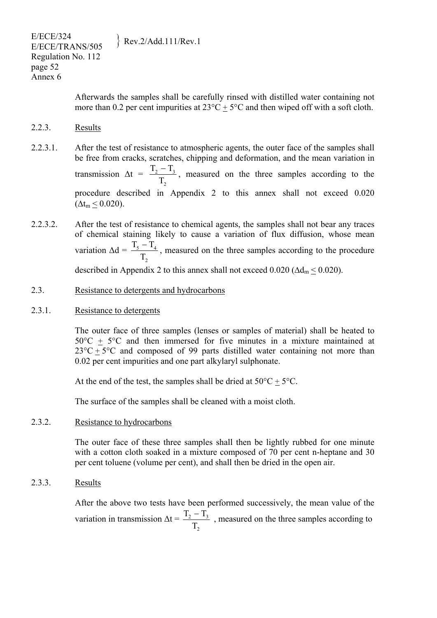Afterwards the samples shall be carefully rinsed with distilled water containing not more than 0.2 per cent impurities at  $23^{\circ}C \pm 5^{\circ}C$  and then wiped off with a soft cloth.

- 2.2.3. Results
- 2.2.3.1. After the test of resistance to atmospheric agents, the outer face of the samples shall be free from cracks, scratches, chipping and deformation, and the mean variation in transmission  $\Delta t$  = 2  $2^{\sim}13$ T  $\frac{T_2 - T_3}{T_2 - T_3}$ , measured on the three samples according to the procedure described in Appendix 2 to this annex shall not exceed 0.020  $(\Delta t_m < 0.020)$ .
- 2.2.3.2. After the test of resistance to chemical agents, the samples shall not bear any traces of chemical staining likely to cause a variation of flux diffusion, whose mean variation  $\Delta d = \frac{1.5 - 1.4}{\pi}$ 2 T  $\frac{T_5 - T_4}{T_5 - T_4}$ , measured on the three samples according to the procedure described in Appendix 2 to this annex shall not exceed  $0.020$  ( $\Delta d_{\rm m}$  < 0.020).
- 2.3. Resistance to detergents and hydrocarbons
- 2.3.1. Resistance to detergents

The outer face of three samples (lenses or samples of material) shall be heated to  $50^{\circ}$ C +  $5^{\circ}$ C and then immersed for five minutes in a mixture maintained at  $23^{\circ}$ C +  $5^{\circ}$ C and composed of 99 parts distilled water containing not more than 0.02 per cent impurities and one part alkylaryl sulphonate.

At the end of the test, the samples shall be dried at  $50^{\circ}C + 5^{\circ}C$ .

The surface of the samples shall be cleaned with a moist cloth.

# 2.3.2. Resistance to hydrocarbons

The outer face of these three samples shall then be lightly rubbed for one minute with a cotton cloth soaked in a mixture composed of 70 per cent n-heptane and 30 per cent toluene (volume per cent), and shall then be dried in the open air.

2.3.3. Results

After the above two tests have been performed successively, the mean value of the variation in transmission  $\Delta t =$ 2 2  $\frac{1}{3}$ T  $\frac{T_2 - T_3}{T_2 - T_3}$ , measured on the three samples according to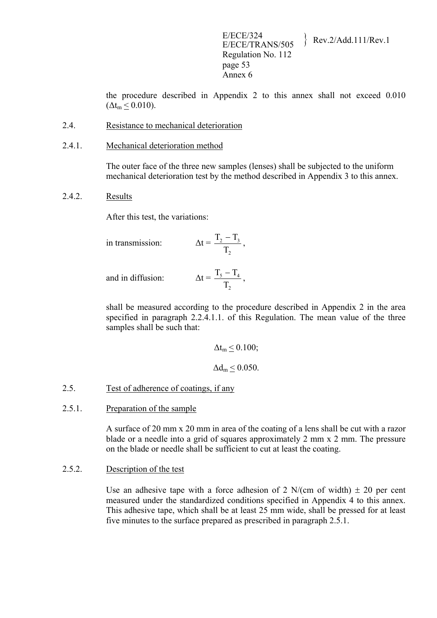E/ECE/324<br>E/ECE/TRANS/505 Rev.2/Add.111/Rev.1 Regulation No. 112 page 53 Annex 6

the procedure described in Appendix 2 to this annex shall not exceed 0.010  $(\Delta t_m < 0.010)$ .

- 2.4. Resistance to mechanical deterioration
- 2.4.1. Mechanical deterioration method

The outer face of the three new samples (lenses) shall be subjected to the uniform mechanical deterioration test by the method described in Appendix 3 to this annex.

2.4.2. Results

After this test, the variations:

in transmission: 
$$
\Delta t = \frac{T_2 - T_3}{T_2}
$$
,

and in diffusion:  $\Delta t$ 

$$
t = \frac{T_5 - T_4}{T_2},
$$

shall be measured according to the procedure described in Appendix 2 in the area specified in paragraph 2.2.4.1.1. of this Regulation. The mean value of the three samples shall be such that:

$$
\Delta t_m \leq 0.100;
$$
  

$$
\Delta d_m \leq 0.050.
$$

### 2.5. Test of adherence of coatings, if any

#### 2.5.1. Preparation of the sample

A surface of 20 mm x 20 mm in area of the coating of a lens shall be cut with a razor blade or a needle into a grid of squares approximately 2 mm x 2 mm. The pressure on the blade or needle shall be sufficient to cut at least the coating.

### 2.5.2. Description of the test

Use an adhesive tape with a force adhesion of 2 N/(cm of width)  $\pm$  20 per cent measured under the standardized conditions specified in Appendix 4 to this annex. This adhesive tape, which shall be at least 25 mm wide, shall be pressed for at least five minutes to the surface prepared as prescribed in paragraph 2.5.1.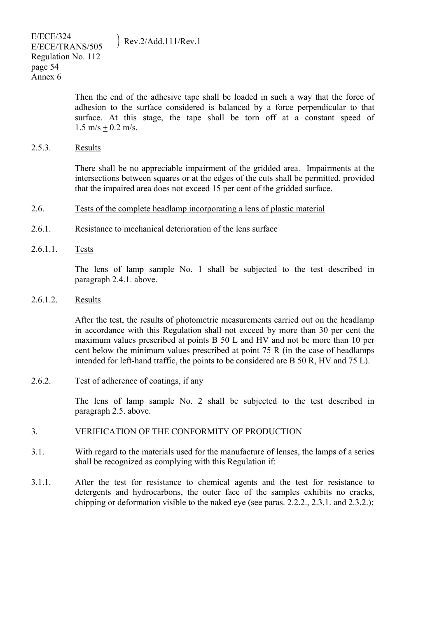E/ECE/324  $E/ECE/324$ <br>E/ECE/TRANS/505 Rev.2/Add.111/Rev.1 Regulation No. 112 page 54 Annex 6

> Then the end of the adhesive tape shall be loaded in such a way that the force of adhesion to the surface considered is balanced by a force perpendicular to that surface. At this stage, the tape shall be torn off at a constant speed of  $1.5 \text{ m/s} + 0.2 \text{ m/s}.$

2.5.3. Results

There shall be no appreciable impairment of the gridded area. Impairments at the intersections between squares or at the edges of the cuts shall be permitted, provided that the impaired area does not exceed 15 per cent of the gridded surface.

### 2.6. Tests of the complete headlamp incorporating a lens of plastic material

- 2.6.1. Resistance to mechanical deterioration of the lens surface
- 2.6.1.1. Tests

The lens of lamp sample No. 1 shall be subjected to the test described in paragraph 2.4.1. above.

2.6.1.2. Results

After the test, the results of photometric measurements carried out on the headlamp in accordance with this Regulation shall not exceed by more than 30 per cent the maximum values prescribed at points B 50 L and HV and not be more than 10 per cent below the minimum values prescribed at point 75 R (in the case of headlamps intended for left-hand traffic, the points to be considered are B 50 R, HV and 75 L).

2.6.2. Test of adherence of coatings, if any

The lens of lamp sample No. 2 shall be subjected to the test described in paragraph 2.5. above.

- 3. VERIFICATION OF THE CONFORMITY OF PRODUCTION
- 3.1. With regard to the materials used for the manufacture of lenses, the lamps of a series shall be recognized as complying with this Regulation if:
- 3.1.1. After the test for resistance to chemical agents and the test for resistance to detergents and hydrocarbons, the outer face of the samples exhibits no cracks, chipping or deformation visible to the naked eye (see paras. 2.2.2., 2.3.1. and 2.3.2.);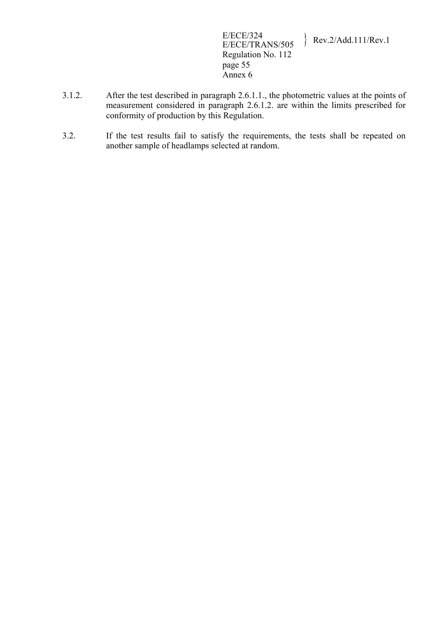E/ECE/324<br>E/ECE/TRANS/505  $\text{Rev.2/Add.111/Rev.1}$ Regulation No. 112 page 55 Annex 6

- 3.1.2. After the test described in paragraph 2.6.1.1., the photometric values at the points of measurement considered in paragraph 2.6.1.2. are within the limits prescribed for conformity of production by this Regulation.
- 3.2. If the test results fail to satisfy the requirements, the tests shall be repeated on another sample of headlamps selected at random.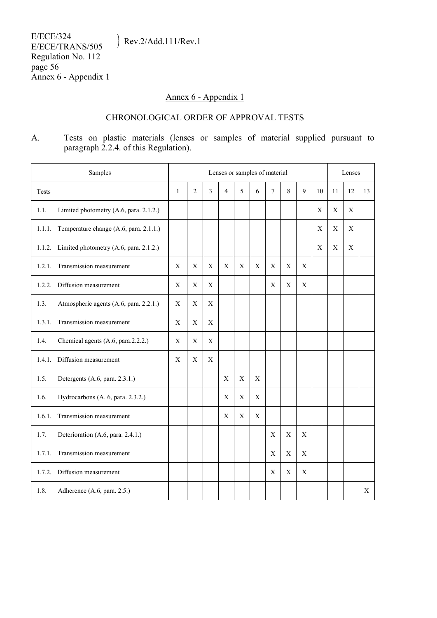# Annex 6 - Appendix 1

# CHRONOLOGICAL ORDER OF APPROVAL TESTS

A. Tests on plastic materials (lenses or samples of material supplied pursuant to paragraph 2.2.4. of this Regulation).

| Samples                                          |              | Lenses or samples of material |                           |                |             |             |             | Lenses      |             |             |             |             |    |
|--------------------------------------------------|--------------|-------------------------------|---------------------------|----------------|-------------|-------------|-------------|-------------|-------------|-------------|-------------|-------------|----|
| Tests                                            | $\mathbf{1}$ | $\overline{2}$                | $\overline{3}$            | $\overline{4}$ | 5           | 6           | 7           | 8           | 9           | 10          | 11          | 12          | 13 |
| Limited photometry (A.6, para. 2.1.2.)<br>1.1.   |              |                               |                           |                |             |             |             |             |             | X           | X           | X           |    |
| Temperature change (A.6, para. 2.1.1.)<br>1.1.1. |              |                               |                           |                |             |             |             |             |             | X           | $\mathbf X$ | $\mathbf X$ |    |
| 1.1.2. Limited photometry (A.6, para. 2.1.2.)    |              |                               |                           |                |             |             |             |             |             | $\mathbf X$ | $\mathbf X$ | $\mathbf X$ |    |
| Transmission measurement<br>1.2.1.               | $\mathbf X$  | $\mathbf X$                   | $\boldsymbol{\mathrm{X}}$ | $\mathbf X$    | $\mathbf X$ | $\mathbf X$ | $\mathbf X$ | $\mathbf X$ | $\mathbf X$ |             |             |             |    |
| 1.2.2.<br>Diffusion measurement                  | X            | $\mathbf X$                   | X                         |                |             |             | $\mathbf X$ | $\mathbf X$ | $\mathbf X$ |             |             |             |    |
| 1.3.<br>Atmospheric agents (A.6, para. 2.2.1.)   | $\mathbf X$  | X                             | X                         |                |             |             |             |             |             |             |             |             |    |
| Transmission measurement<br>1.3.1.               | $\mathbf X$  | X                             | $\boldsymbol{\mathrm{X}}$ |                |             |             |             |             |             |             |             |             |    |
| 1.4.<br>Chemical agents (A.6, para.2.2.2.)       | X            | X                             | X                         |                |             |             |             |             |             |             |             |             |    |
| Diffusion measurement<br>1.4.1.                  | X            | X                             | X                         |                |             |             |             |             |             |             |             |             |    |
| 1.5.<br>Detergents (A.6, para. 2.3.1.)           |              |                               |                           | $\mathbf X$    | $\mathbf X$ | X           |             |             |             |             |             |             |    |
| 1.6.<br>Hydrocarbons (A. 6, para. 2.3.2.)        |              |                               |                           | $\mathbf X$    | $\mathbf X$ | X           |             |             |             |             |             |             |    |
| Transmission measurement<br>1.6.1.               |              |                               |                           | X              | $\mathbf X$ | $\mathbf X$ |             |             |             |             |             |             |    |
| 1.7.<br>Deterioration (A.6, para. 2.4.1.)        |              |                               |                           |                |             |             | $\mathbf X$ | $\mathbf X$ | $\mathbf X$ |             |             |             |    |
| Transmission measurement<br>1.7.1.               |              |                               |                           |                |             |             | X           | $\mathbf X$ | $\mathbf X$ |             |             |             |    |
| Diffusion measurement<br>1.7.2.                  |              |                               |                           |                |             |             | $\mathbf X$ | $\mathbf X$ | X           |             |             |             |    |
| 1.8.<br>Adherence (A.6, para. 2.5.)              |              |                               |                           |                |             |             |             |             |             |             |             |             | X  |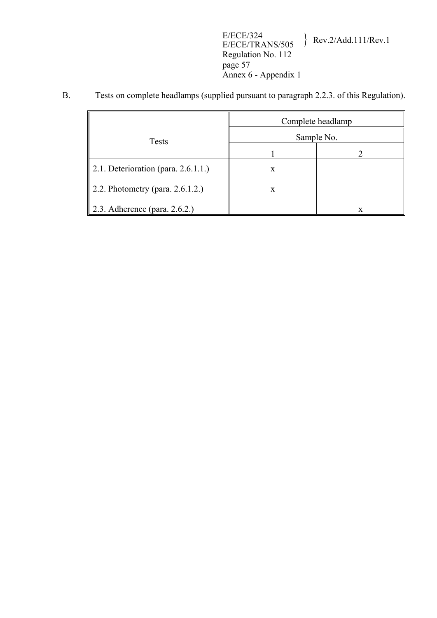E/ECE/324 E/ECE/TRANS/505 } Rev.2/Add.111/Rev.1 Regulation No. 112 page 57 Annex 6 - Appendix 1

B. Tests on complete headlamps (supplied pursuant to paragraph 2.2.3. of this Regulation).

|                                        | Complete headlamp |            |  |  |  |
|----------------------------------------|-------------------|------------|--|--|--|
| <b>Tests</b>                           |                   | Sample No. |  |  |  |
|                                        |                   |            |  |  |  |
| 2.1. Deterioration (para. $2.6.1.1$ .) | X                 |            |  |  |  |
| 2.2. Photometry (para. $2.6.1.2$ .)    | X                 |            |  |  |  |
| 2.3. Adherence (para. $2.6.2$ .)       |                   | X          |  |  |  |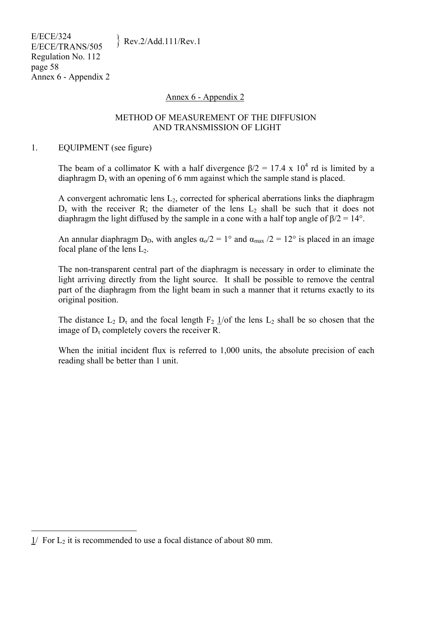### Annex 6 - Appendix 2

#### METHOD OF MEASUREMENT OF THE DIFFUSION AND TRANSMISSION OF LIGHT

#### 1. EQUIPMENT (see figure)

The beam of a collimator K with a half divergence  $\beta/2 = 17.4 \times 10^4$  rd is limited by a diaphragm  $D<sub>r</sub>$  with an opening of 6 mm against which the sample stand is placed.

A convergent achromatic lens  $L_2$ , corrected for spherical aberrations links the diaphragm  $D<sub>\tau</sub>$  with the receiver R; the diameter of the lens  $L_2$  shall be such that it does not diaphragm the light diffused by the sample in a cone with a half top angle of  $\beta/2 = 14^{\circ}$ .

An annular diaphragm D<sub>D</sub>, with angles  $\alpha_0/2 = 1^\circ$  and  $\alpha_{\text{max}}/2 = 12^\circ$  is placed in an image focal plane of the lens  $L_2$ .

The non-transparent central part of the diaphragm is necessary in order to eliminate the light arriving directly from the light source. It shall be possible to remove the central part of the diaphragm from the light beam in such a manner that it returns exactly to its original position.

The distance  $L_2$   $D_{\tau}$  and the focal length  $F_2$  1/of the lens  $L_2$  shall be so chosen that the image of  $D<sub>r</sub>$  completely covers the receiver R.

When the initial incident flux is referred to 1,000 units, the absolute precision of each reading shall be better than 1 unit.

 $\overline{a}$ 

 $\frac{1}{1}$  For L<sub>2</sub> it is recommended to use a focal distance of about 80 mm.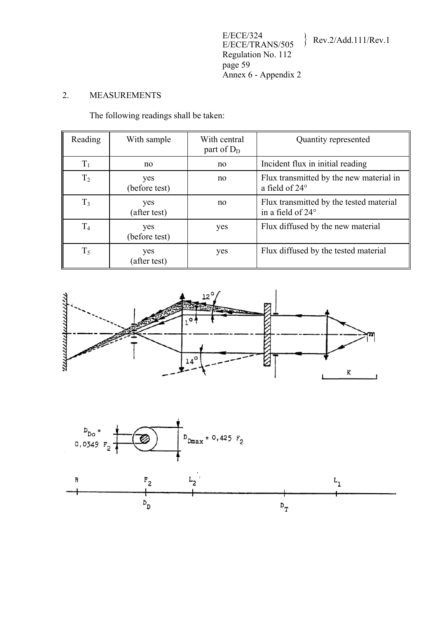# 2. MEASUREMENTS

The following readings shall be taken:

| Reading        | With sample          | With central<br>part of $D_D$ | Quantity represented                                         |
|----------------|----------------------|-------------------------------|--------------------------------------------------------------|
| $T_1$          | no                   | no                            | Incident flux in initial reading                             |
| T <sub>2</sub> | yes<br>(before test) | no                            | Flux transmitted by the new material in<br>a field of 24°    |
| $T_3$          | yes<br>(after test)  | no                            | Flux transmitted by the tested material<br>in a field of 24° |
| T <sub>4</sub> | yes<br>(before test) | yes                           | Flux diffused by the new material                            |
| $T_5$          | yes<br>(after test)  | yes                           | Flux diffused by the tested material                         |



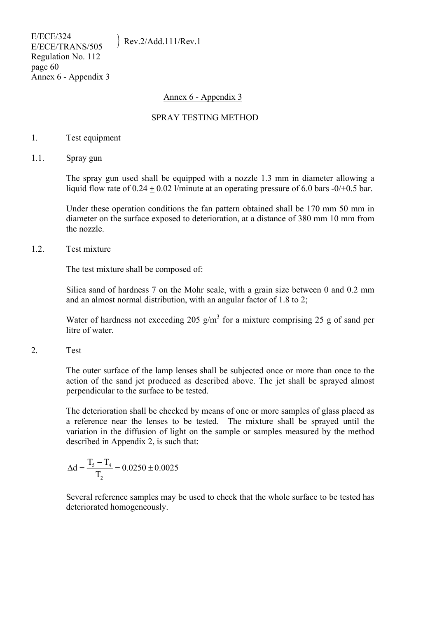#### Annex 6 - Appendix 3

#### SPRAY TESTING METHOD

#### 1. Test equipment

1.1. Spray gun

The spray gun used shall be equipped with a nozzle 1.3 mm in diameter allowing a liquid flow rate of  $0.24 \pm 0.02$  l/minute at an operating pressure of 6.0 bars -0/+0.5 bar.

Under these operation conditions the fan pattern obtained shall be 170 mm 50 mm in diameter on the surface exposed to deterioration, at a distance of 380 mm 10 mm from the nozzle.

1.2. Test mixture

The test mixture shall be composed of:

Silica sand of hardness 7 on the Mohr scale, with a grain size between 0 and 0.2 mm and an almost normal distribution, with an angular factor of 1.8 to 2;

Water of hardness not exceeding 205  $g/m<sup>3</sup>$  for a mixture comprising 25 g of sand per litre of water.

2. Test

The outer surface of the lamp lenses shall be subjected once or more than once to the action of the sand jet produced as described above. The jet shall be sprayed almost perpendicular to the surface to be tested.

The deterioration shall be checked by means of one or more samples of glass placed as a reference near the lenses to be tested. The mixture shall be sprayed until the variation in the diffusion of light on the sample or samples measured by the method described in Appendix 2, is such that:

$$
\Delta d = \frac{T_{_5}-T_{_4}}{T_{_2}} = 0.0250 \pm 0.0025
$$

Several reference samples may be used to check that the whole surface to be tested has deteriorated homogeneously.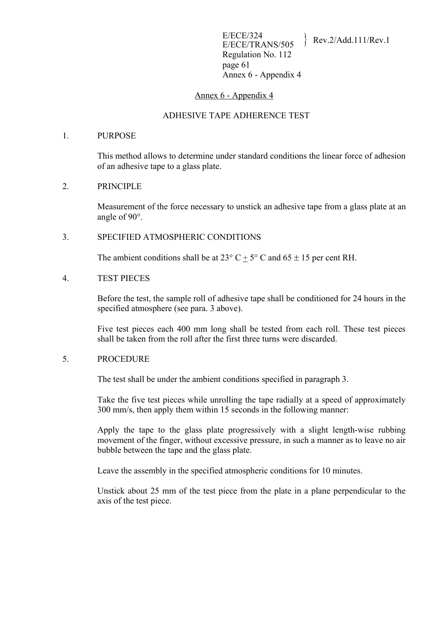#### Annex 6 - Appendix 4

#### ADHESIVE TAPE ADHERENCE TEST

#### 1. PURPOSE

This method allows to determine under standard conditions the linear force of adhesion of an adhesive tape to a glass plate.

#### 2. PRINCIPLE

Measurement of the force necessary to unstick an adhesive tape from a glass plate at an angle of 90°.

#### 3. SPECIFIED ATMOSPHERIC CONDITIONS

The ambient conditions shall be at  $23^{\circ}$  C + 5° C and 65  $\pm$  15 per cent RH.

#### 4. TEST PIECES

Before the test, the sample roll of adhesive tape shall be conditioned for 24 hours in the specified atmosphere (see para. 3 above).

Five test pieces each 400 mm long shall be tested from each roll. These test pieces shall be taken from the roll after the first three turns were discarded.

#### 5. PROCEDURE

The test shall be under the ambient conditions specified in paragraph 3.

Take the five test pieces while unrolling the tape radially at a speed of approximately 300 mm/s, then apply them within 15 seconds in the following manner:

Apply the tape to the glass plate progressively with a slight length-wise rubbing movement of the finger, without excessive pressure, in such a manner as to leave no air bubble between the tape and the glass plate.

Leave the assembly in the specified atmospheric conditions for 10 minutes.

Unstick about 25 mm of the test piece from the plate in a plane perpendicular to the axis of the test piece.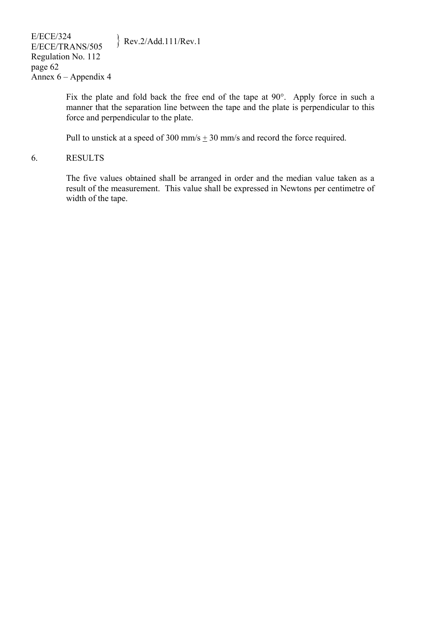Fix the plate and fold back the free end of the tape at 90°. Apply force in such a manner that the separation line between the tape and the plate is perpendicular to this force and perpendicular to the plate.

Pull to unstick at a speed of 300 mm/s  $\pm$  30 mm/s and record the force required.

#### 6. RESULTS

The five values obtained shall be arranged in order and the median value taken as a result of the measurement. This value shall be expressed in Newtons per centimetre of width of the tape.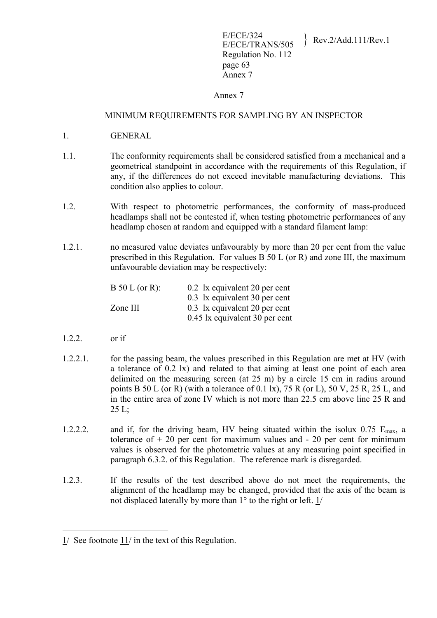# Annex 7

#### MINIMUM REQUIREMENTS FOR SAMPLING BY AN INSPECTOR

- 1. GENERAL
- 1.1. The conformity requirements shall be considered satisfied from a mechanical and a geometrical standpoint in accordance with the requirements of this Regulation, if any, if the differences do not exceed inevitable manufacturing deviations. This condition also applies to colour.
- 1.2. With respect to photometric performances, the conformity of mass-produced headlamps shall not be contested if, when testing photometric performances of any headlamp chosen at random and equipped with a standard filament lamp:
- 1.2.1. no measured value deviates unfavourably by more than 20 per cent from the value prescribed in this Regulation. For values B 50 L (or R) and zone III, the maximum unfavourable deviation may be respectively:

| $B 50 L (or R)$ : | 0.2 1x equivalent 20 per cent  |
|-------------------|--------------------------------|
|                   | 0.3 1x equivalent 30 per cent  |
| Zone III          | 0.3 1x equivalent 20 per cent  |
|                   | 0.45 lx equivalent 30 per cent |

1.2.2. or if

<u>.</u>

- 1.2.2.1. for the passing beam, the values prescribed in this Regulation are met at HV (with a tolerance of 0.2 lx) and related to that aiming at least one point of each area delimited on the measuring screen (at 25 m) by a circle 15 cm in radius around points B 50 L (or R) (with a tolerance of 0.1 lx), 75 R (or L), 50 V, 25 R, 25 L, and in the entire area of zone IV which is not more than 22.5 cm above line 25 R and  $25 L$ ;
- 1.2.2.2. and if, for the driving beam, HV being situated within the isolux  $0.75$  E<sub>max</sub>, a tolerance of  $+20$  per cent for maximum values and  $-20$  per cent for minimum values is observed for the photometric values at any measuring point specified in paragraph 6.3.2. of this Regulation. The reference mark is disregarded.
- 1.2.3. If the results of the test described above do not meet the requirements, the alignment of the headlamp may be changed, provided that the axis of the beam is not displaced laterally by more than 1° to the right or left. 1/

<sup>1/</sup> See footnote 11/ in the text of this Regulation.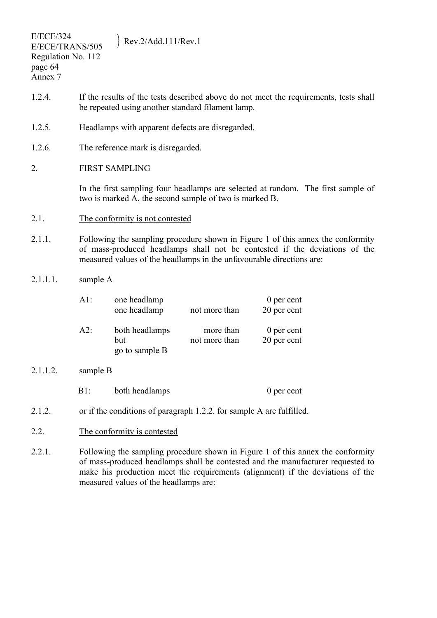- 1.2.4. If the results of the tests described above do not meet the requirements, tests shall be repeated using another standard filament lamp.
- 1.2.5. Headlamps with apparent defects are disregarded.
- 1.2.6. The reference mark is disregarded.
- 2. FIRST SAMPLING

In the first sampling four headlamps are selected at random. The first sample of two is marked A, the second sample of two is marked B.

- 2.1. The conformity is not contested
- 2.1.1. Following the sampling procedure shown in Figure 1 of this annex the conformity of mass-produced headlamps shall not be contested if the deviations of the measured values of the headlamps in the unfavourable directions are:
- 2.1.1.1. sample A

| AI: | one headlamp<br>one headlamp            | not more than              | 0 per cent<br>20 per cent |
|-----|-----------------------------------------|----------------------------|---------------------------|
| A2: | both headlamps<br>but<br>go to sample B | more than<br>not more than | 0 per cent<br>20 per cent |

2.1.1.2. sample B

| both headlamps<br>$B1$ : | 0 per cent |
|--------------------------|------------|
|--------------------------|------------|

- 2.1.2. or if the conditions of paragraph 1.2.2. for sample A are fulfilled.
- 2.2. The conformity is contested
- 2.2.1. Following the sampling procedure shown in Figure 1 of this annex the conformity of mass-produced headlamps shall be contested and the manufacturer requested to make his production meet the requirements (alignment) if the deviations of the measured values of the headlamps are: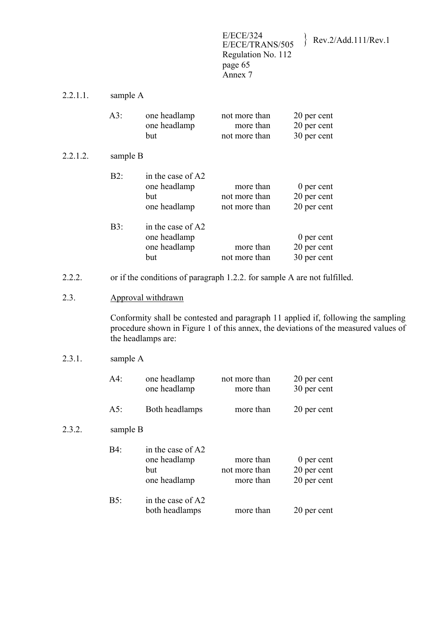E/ECE/324<br>E/ECE/TRANS/505 Regulation No. 112 page 65 Annex 7

E/ECE/TRANS/505 } Rev.2/Add.111/Rev.1

| 2.2.1.1. | sample A |
|----------|----------|
|----------|----------|

|          | $A3$ :   | one headlamp<br>one headlamp<br>but                      | not more than<br>more than<br>not more than | 20 per cent<br>20 per cent<br>30 per cent |
|----------|----------|----------------------------------------------------------|---------------------------------------------|-------------------------------------------|
| 2.2.1.2. | sample B |                                                          |                                             |                                           |
|          | B2:      | in the case of A2<br>one headlamp<br>but<br>one headlamp | more than<br>not more than<br>not more than | 0 per cent<br>20 per cent<br>20 per cent  |
|          | $B3$ :   | in the case of A2<br>one headlamp<br>one headlamp<br>but | more than<br>not more than                  | 0 per cent<br>20 per cent<br>30 per cent  |

- 2.2.2. or if the conditions of paragraph 1.2.2. for sample A are not fulfilled.
- 2.3. Approval withdrawn

Conformity shall be contested and paragraph 11 applied if, following the sampling procedure shown in Figure 1 of this annex, the deviations of the measured values of the headlamps are:

### 2.3.1. sample A

 $2.3.2.$ 

|        | $A4$ :   | one headlamp<br>one headlamp                             | not more than<br>more than              | 20 per cent<br>30 per cent               |
|--------|----------|----------------------------------------------------------|-----------------------------------------|------------------------------------------|
|        | $A5$ :   | Both headlamps                                           | more than                               | 20 per cent                              |
| 2.3.2. | sample B |                                                          |                                         |                                          |
|        | B4:      | in the case of A2<br>one headlamp<br>but<br>one headlamp | more than<br>not more than<br>more than | 0 per cent<br>20 per cent<br>20 per cent |
|        | $B5$ :   | in the case of A2<br>both headlamps                      | more than                               | 20 per cent                              |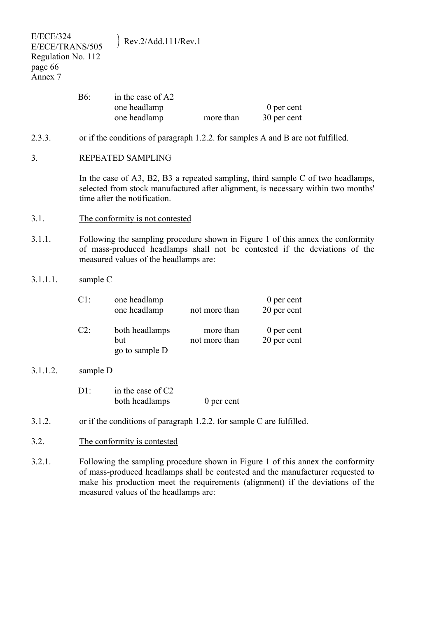| <b>E/ECE/324</b><br>E/ECE/TRANS/505<br>Regulation No. 112<br>page 66<br>Annex 7 |                                                                                                                                                                                                        | Rev.2/Add.111/Rev.1                               |                            |                             |
|---------------------------------------------------------------------------------|--------------------------------------------------------------------------------------------------------------------------------------------------------------------------------------------------------|---------------------------------------------------|----------------------------|-----------------------------|
|                                                                                 | <b>B6:</b>                                                                                                                                                                                             | in the case of A2<br>one headlamp<br>one headlamp | more than                  | 0 per cent<br>30 per cent   |
| 2.3.3.                                                                          | or if the conditions of paragraph 1.2.2. for samples A and B are not fulfilled.                                                                                                                        |                                                   |                            |                             |
| 3.                                                                              | REPEATED SAMPLING                                                                                                                                                                                      |                                                   |                            |                             |
|                                                                                 | In the case of A3, B2, B3 a repeated sampling, third sample $C$ of two headlamps,<br>selected from stock manufactured after alignment, is necessary within two months'<br>time after the notification. |                                                   |                            |                             |
| 3.1.                                                                            | The conformity is not contested                                                                                                                                                                        |                                                   |                            |                             |
| 3.1.1.                                                                          | Following the sampling procedure shown in Figure 1 of this annex the conformity<br>of mass-produced headlamps shall not be contested if the deviations of the<br>measured values of the headlamps are: |                                                   |                            |                             |
| 3.1.1.1.                                                                        | sample C                                                                                                                                                                                               |                                                   |                            |                             |
|                                                                                 | $C1$ :                                                                                                                                                                                                 | one headlamp<br>one headlamp                      | not more than              | $0$ per cent<br>20 per cent |
|                                                                                 | $C2$ :                                                                                                                                                                                                 | both headlamps<br>but<br>go to sample D           | more than<br>not more than | 0 per cent<br>20 per cent   |
| 3.1.1.2.                                                                        | sample D                                                                                                                                                                                               |                                                   |                            |                             |
|                                                                                 | $D1$ :                                                                                                                                                                                                 | in the case of C2<br>both headlamps               | $0$ per cent               |                             |
| 3.1.2.                                                                          | or if the conditions of paragraph 1.2.2. for sample C are fulfilled.                                                                                                                                   |                                                   |                            |                             |
| 3.2.                                                                            | The conformity is contested                                                                                                                                                                            |                                                   |                            |                             |
| 3.2.1.                                                                          | Following the sampling procedure shown in Figure 1 of this annex the conformity<br>of mass-produced headlamps shall be contested and the manufacturer requested to                                     |                                                   |                            |                             |

make his production meet the requirements (alignment) if the deviations of the

measured values of the headlamps are: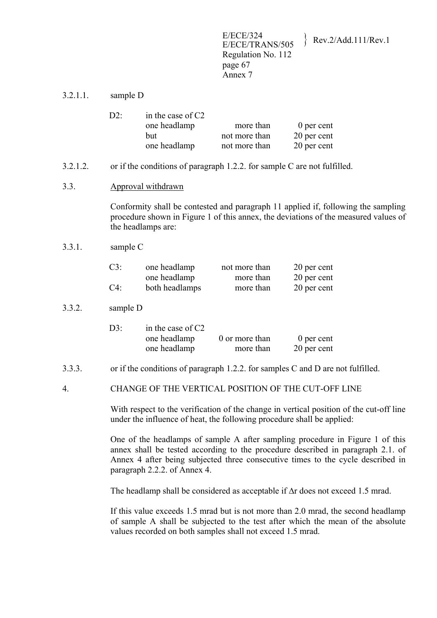E/ECE/324<br>E/ECE/TRANS/505 Rev.2/Add.111/Rev.1 Regulation No. 112 page 67 Annex 7

3.2.1.1. sample D

| $D2$ : | in the case of $C2$ |               |             |
|--------|---------------------|---------------|-------------|
|        | one headlamp        | more than     | 0 per cent  |
|        | but                 | not more than | 20 per cent |
|        | one headlamp        | not more than | 20 per cent |

- 3.2.1.2. or if the conditions of paragraph 1.2.2. for sample C are not fulfilled.
- 3.3. Approval withdrawn

Conformity shall be contested and paragraph 11 applied if, following the sampling procedure shown in Figure 1 of this annex, the deviations of the measured values of the headlamps are:

3.3.1. sample C

| $C3$ : | one headlamp   | not more than | 20 per cent |
|--------|----------------|---------------|-------------|
|        | one headlamp   | more than     | 20 per cent |
| $C4$ : | both headlamps | more than     | 20 per cent |

#### 3.3.2. sample D

| D3 | in the case of $C2$ |                |             |
|----|---------------------|----------------|-------------|
|    | one headlamp        | 0 or more than | 0 per cent  |
|    | one headlamp        | more than      | 20 per cent |

- 3.3.3. or if the conditions of paragraph 1.2.2. for samples C and D are not fulfilled.
- 4. CHANGE OF THE VERTICAL POSITION OF THE CUT-OFF LINE

With respect to the verification of the change in vertical position of the cut-off line under the influence of heat, the following procedure shall be applied:

One of the headlamps of sample A after sampling procedure in Figure 1 of this annex shall be tested according to the procedure described in paragraph 2.1. of Annex 4 after being subjected three consecutive times to the cycle described in paragraph 2.2.2. of Annex 4.

The headlamp shall be considered as acceptable if Δr does not exceed 1.5 mrad.

If this value exceeds 1.5 mrad but is not more than 2.0 mrad, the second headlamp of sample A shall be subjected to the test after which the mean of the absolute values recorded on both samples shall not exceed 1.5 mrad.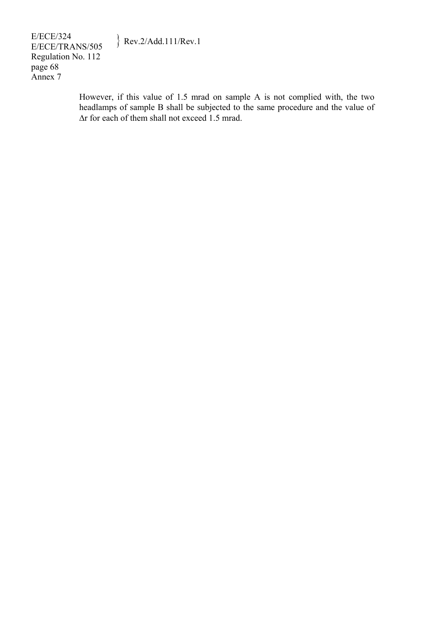E/ECE/324  $E/ECE/324$ <br>E/ECE/TRANS/505 Rev.2/Add.111/Rev.1 Regulation No. 112 page 68 Annex 7

> However, if this value of 1.5 mrad on sample A is not complied with, the two headlamps of sample B shall be subjected to the same procedure and the value of Δr for each of them shall not exceed 1.5 mrad.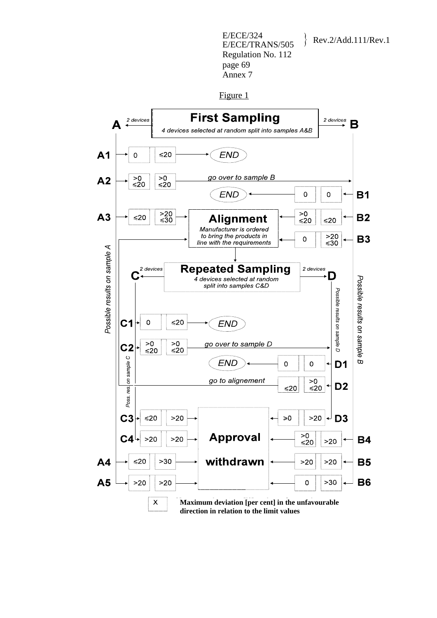E/ECE/324<br>E/ECE/TRANS/505 Regulation No. 112 page 69 Annex 7

Rev.2/Add.111/Rev.1

Figure 1

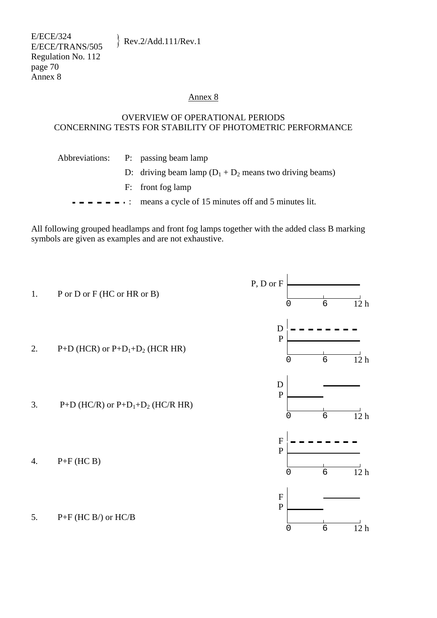### Annex 8

#### OVERVIEW OF OPERATIONAL PERIODS CONCERNING TESTS FOR STABILITY OF PHOTOMETRIC PERFORMANCE

| Abbreviations: P: passing beam lamp                                                                              |
|------------------------------------------------------------------------------------------------------------------|
| D: driving beam lamp $(D_1 + D_2)$ means two driving beams)                                                      |
| F: front fog lamp                                                                                                |
| $\bullet$ $\bullet$ $\bullet$ $\bullet$ $\bullet$ $\bullet$ : means a cycle of 15 minutes off and 5 minutes lit. |
|                                                                                                                  |

All following grouped headlamps and front fog lamps together with the added class B marking symbols are given as examples and are not exhaustive.